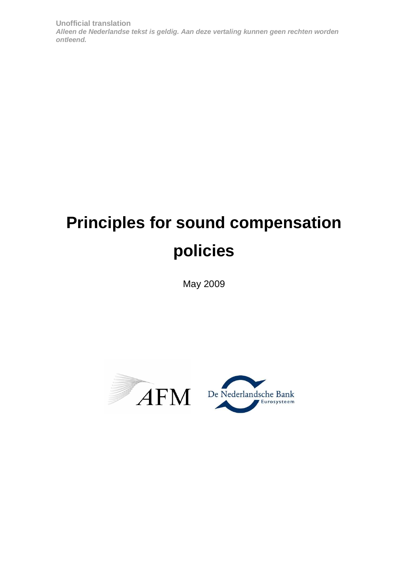# **Principles for sound compensation policies**

May 2009



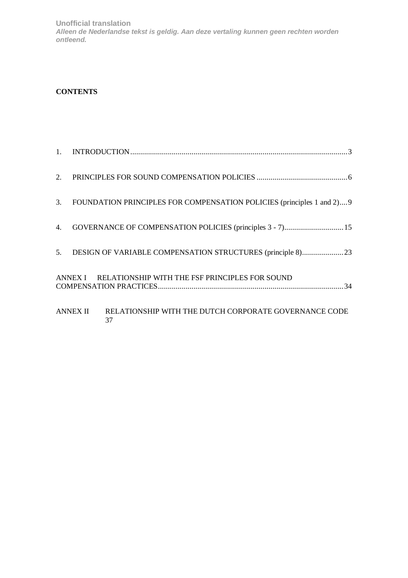# **CONTENTS**

|    | 3. FOUNDATION PRINCIPLES FOR COMPENSATION POLICIES (principles 1 and 2)9 |  |
|----|--------------------------------------------------------------------------|--|
| 4. | GOVERNANCE OF COMPENSATION POLICIES (principles 3 - 7) 15                |  |
|    |                                                                          |  |
|    | ANNEX I RELATIONSHIP WITH THE FSF PRINCIPLES FOR SOUND                   |  |
|    | ANNEX II RELATIONSHIP WITH THE DUTCH CORPORATE GOVERNANCE CODE<br>37     |  |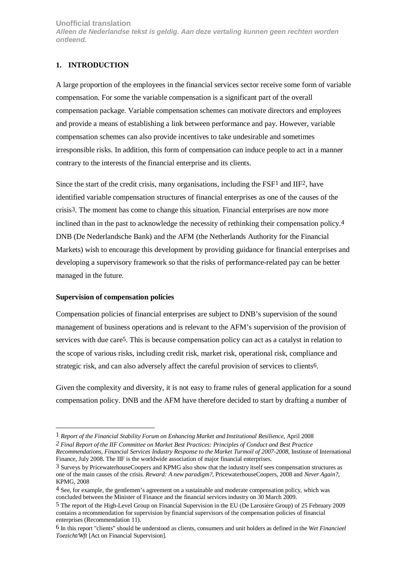# <span id="page-2-0"></span>**1. INTRODUCTION**

A large proportion of the employees in the financial services sector receive some form of variable compensation. For some the variable compensation is a significant part of the overall compensation package. Variable compensation schemes can motivate directors and employees and provide a means of establishing a link between performance and pay. However, variable compensation schemes can also provide incentives to take undesirable and sometimes irresponsible risks. In addition, this form of compensation can induce people to act in a manner contrary to the interests of the financial enterprise and its clients.

Since the start of the credit crisis, many organisations, including the FSF1 and IIF2, have identified variable compensation structures of financial enterprises as one of the causes of the crisis3. The moment has come to change this situation. Financial enterprises are now more inclined than in the past to acknowledge the necessity of rethinking their compensation policy.4 DNB (De Nederlandsche Bank) and the AFM (the Netherlands Authority for the Financial Markets) wish to encourage this development by providing guidance for financial enterprises and developing a supervisory framework so that the risks of performance-related pay can be better managed in the future.

#### **Supervision of compensation policies**

 $\overline{a}$ 

Compensation policies of financial enterprises are subject to DNB's supervision of the sound management of business operations and is relevant to the AFM's supervision of the provision of services with due care5. This is because compensation policy can act as a catalyst in relation to the scope of various risks, including credit risk, market risk, operational risk, compliance and strategic risk, and can also adversely affect the careful provision of services to clients6.

Given the complexity and diversity, it is not easy to frame rules of general application for a sound compensation policy. DNB and the AFM have therefore decided to start by drafting a number of

<sup>1</sup> *Report of the Financial Stability Forum on Enhancing Market and Institutional Resilience*, April 2008

*<sup>2</sup> Final Report of the IIF Committee on Market Best Practices: Principles of Conduct and Best Practice Recommendations, Financial Services Industry Response to the Market Turmoil of 2007-2008*, Institute of International Finance, July 2008. The IIF is the worldwide association of major financial enterprises.

<sup>3</sup> Surveys by PricewaterhouseCoopers and KPMG also show that the industry itself sees compensation structures as one of the main causes of the crisis. *Reward: A new paradigm?*, PricewaterhouseCoopers, 2008 and *Never Again?*, KPMG, 2008

<sup>4</sup> See, for example, the gentlemen's agreement on a sustainable and moderate compensation policy, which was concluded between the Minister of Finance and the financial services industry on 30 March 2009.

<sup>5</sup> The report of the High-Level Group on Financial Supervision in the EU (De Larosière Group) of 25 February 2009 contains a recommendation for supervision by financial supervisors of the compensation policies of financial enterprises (Recommendation 11).

<sup>6</sup> In this report "clients" should be understood as clients, consumers and unit holders as defined in the *Wet Financieel Toezicht/Wft* [Act on Financial Supervision].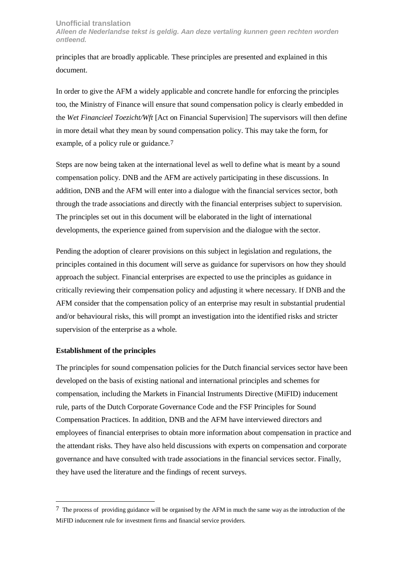principles that are broadly applicable. These principles are presented and explained in this document.

In order to give the AFM a widely applicable and concrete handle for enforcing the principles too, the Ministry of Finance will ensure that sound compensation policy is clearly embedded in the *Wet Financieel Toezicht/Wft* [Act on Financial Supervision] The supervisors will then define in more detail what they mean by sound compensation policy. This may take the form, for example, of a policy rule or guidance.7

Steps are now being taken at the international level as well to define what is meant by a sound compensation policy. DNB and the AFM are actively participating in these discussions. In addition, DNB and the AFM will enter into a dialogue with the financial services sector, both through the trade associations and directly with the financial enterprises subject to supervision. The principles set out in this document will be elaborated in the light of international developments, the experience gained from supervision and the dialogue with the sector.

Pending the adoption of clearer provisions on this subject in legislation and regulations, the principles contained in this document will serve as guidance for supervisors on how they should approach the subject. Financial enterprises are expected to use the principles as guidance in critically reviewing their compensation policy and adjusting it where necessary. If DNB and the AFM consider that the compensation policy of an enterprise may result in substantial prudential and/or behavioural risks, this will prompt an investigation into the identified risks and stricter supervision of the enterprise as a whole.

#### **Establishment of the principles**

 $\overline{a}$ 

The principles for sound compensation policies for the Dutch financial services sector have been developed on the basis of existing national and international principles and schemes for compensation, including the Markets in Financial Instruments Directive (MiFID) inducement rule, parts of the Dutch Corporate Governance Code and the FSF Principles for Sound Compensation Practices. In addition, DNB and the AFM have interviewed directors and employees of financial enterprises to obtain more information about compensation in practice and the attendant risks. They have also held discussions with experts on compensation and corporate governance and have consulted with trade associations in the financial services sector. Finally, they have used the literature and the findings of recent surveys.

<sup>7</sup> The process of providing guidance will be organised by the AFM in much the same way as the introduction of the MiFID inducement rule for investment firms and financial service providers.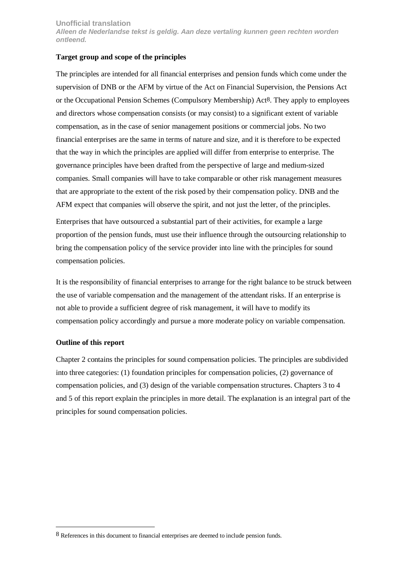#### **Target group and scope of the principles**

The principles are intended for all financial enterprises and pension funds which come under the supervision of DNB or the AFM by virtue of the Act on Financial Supervision, the Pensions Act or the Occupational Pension Schemes (Compulsory Membership) Act8. They apply to employees and directors whose compensation consists (or may consist) to a significant extent of variable compensation, as in the case of senior management positions or commercial jobs. No two financial enterprises are the same in terms of nature and size, and it is therefore to be expected that the way in which the principles are applied will differ from enterprise to enterprise. The governance principles have been drafted from the perspective of large and medium-sized companies. Small companies will have to take comparable or other risk management measures that are appropriate to the extent of the risk posed by their compensation policy. DNB and the AFM expect that companies will observe the spirit, and not just the letter, of the principles.

Enterprises that have outsourced a substantial part of their activities, for example a large proportion of the pension funds, must use their influence through the outsourcing relationship to bring the compensation policy of the service provider into line with the principles for sound compensation policies.

It is the responsibility of financial enterprises to arrange for the right balance to be struck between the use of variable compensation and the management of the attendant risks. If an enterprise is not able to provide a sufficient degree of risk management, it will have to modify its compensation policy accordingly and pursue a more moderate policy on variable compensation.

# **Outline of this report**

 $\overline{a}$ 

Chapter 2 contains the principles for sound compensation policies. The principles are subdivided into three categories: (1) foundation principles for compensation policies, (2) governance of compensation policies, and (3) design of the variable compensation structures. Chapters 3 to 4 and 5 of this report explain the principles in more detail. The explanation is an integral part of the principles for sound compensation policies.

<sup>8</sup> References in this document to financial enterprises are deemed to include pension funds.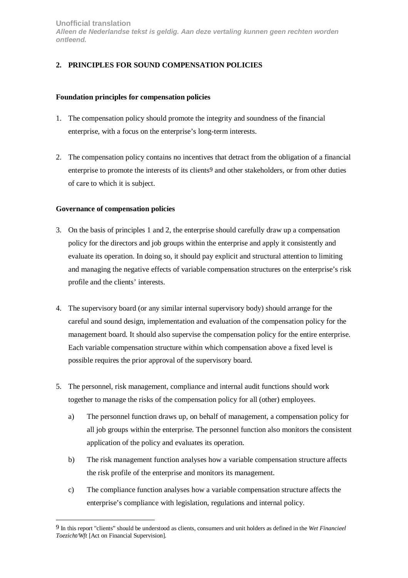# <span id="page-5-0"></span>**2. PRINCIPLES FOR SOUND COMPENSATION POLICIES**

#### **Foundation principles for compensation policies**

- 1. The compensation policy should promote the integrity and soundness of the financial enterprise, with a focus on the enterprise's long-term interests.
- 2. The compensation policy contains no incentives that detract from the obligation of a financial enterprise to promote the interests of its clients9 and other stakeholders, or from other duties of care to which it is subject.

#### **Governance of compensation policies**

 $\overline{a}$ 

- 3. On the basis of principles 1 and 2, the enterprise should carefully draw up a compensation policy for the directors and job groups within the enterprise and apply it consistently and evaluate its operation. In doing so, it should pay explicit and structural attention to limiting and managing the negative effects of variable compensation structures on the enterprise's risk profile and the clients' interests.
- 4. The supervisory board (or any similar internal supervisory body) should arrange for the careful and sound design, implementation and evaluation of the compensation policy for the management board. It should also supervise the compensation policy for the entire enterprise. Each variable compensation structure within which compensation above a fixed level is possible requires the prior approval of the supervisory board.
- 5. The personnel, risk management, compliance and internal audit functions should work together to manage the risks of the compensation policy for all (other) employees.
	- a) The personnel function draws up, on behalf of management, a compensation policy for all job groups within the enterprise. The personnel function also monitors the consistent application of the policy and evaluates its operation.
	- b) The risk management function analyses how a variable compensation structure affects the risk profile of the enterprise and monitors its management.
	- c) The compliance function analyses how a variable compensation structure affects the enterprise's compliance with legislation, regulations and internal policy.

<sup>9</sup> In this report "clients" should be understood as clients, consumers and unit holders as defined in the *Wet Financieel Toezicht/Wft* [Act on Financial Supervision].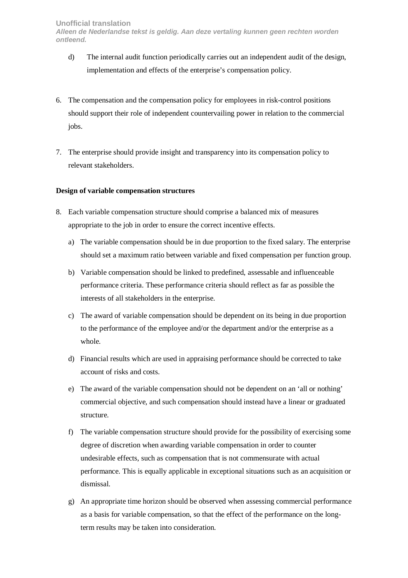- d) The internal audit function periodically carries out an independent audit of the design, implementation and effects of the enterprise's compensation policy.
- 6. The compensation and the compensation policy for employees in risk-control positions should support their role of independent countervailing power in relation to the commercial jobs.
- 7. The enterprise should provide insight and transparency into its compensation policy to relevant stakeholders.

#### **Design of variable compensation structures**

- 8. Each variable compensation structure should comprise a balanced mix of measures appropriate to the job in order to ensure the correct incentive effects.
	- a) The variable compensation should be in due proportion to the fixed salary. The enterprise should set a maximum ratio between variable and fixed compensation per function group.
	- b) Variable compensation should be linked to predefined, assessable and influenceable performance criteria. These performance criteria should reflect as far as possible the interests of all stakeholders in the enterprise.
	- c) The award of variable compensation should be dependent on its being in due proportion to the performance of the employee and/or the department and/or the enterprise as a whole.
	- d) Financial results which are used in appraising performance should be corrected to take account of risks and costs.
	- e) The award of the variable compensation should not be dependent on an 'all or nothing' commercial objective, and such compensation should instead have a linear or graduated structure.
	- f) The variable compensation structure should provide for the possibility of exercising some degree of discretion when awarding variable compensation in order to counter undesirable effects, such as compensation that is not commensurate with actual performance. This is equally applicable in exceptional situations such as an acquisition or dismissal.
	- g) An appropriate time horizon should be observed when assessing commercial performance as a basis for variable compensation, so that the effect of the performance on the longterm results may be taken into consideration.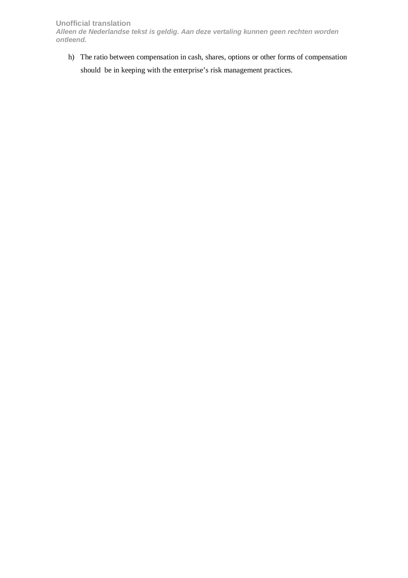**Unofficial translation** 

**Alleen de Nederlandse tekst is geldig. Aan deze vertaling kunnen geen rechten worden ontleend.** 

h) The ratio between compensation in cash, shares, options or other forms of compensation should be in keeping with the enterprise's risk management practices.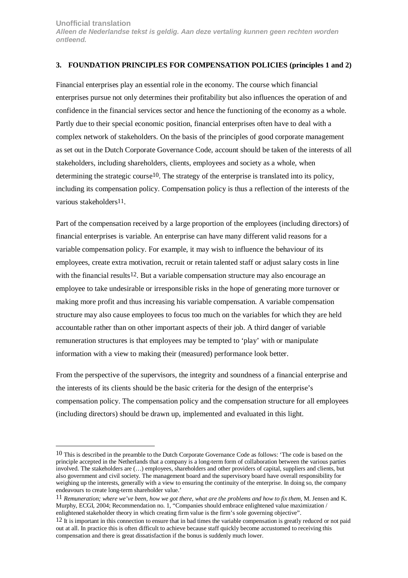#### <span id="page-8-0"></span>**3. FOUNDATION PRINCIPLES FOR COMPENSATION POLICIES (principles 1 and 2)**

Financial enterprises play an essential role in the economy. The course which financial enterprises pursue not only determines their profitability but also influences the operation of and confidence in the financial services sector and hence the functioning of the economy as a whole. Partly due to their special economic position, financial enterprises often have to deal with a complex network of stakeholders. On the basis of the principles of good corporate management as set out in the Dutch Corporate Governance Code, account should be taken of the interests of all stakeholders, including shareholders, clients, employees and society as a whole, when determining the strategic course10. The strategy of the enterprise is translated into its policy, including its compensation policy. Compensation policy is thus a reflection of the interests of the various stakeholders11.

Part of the compensation received by a large proportion of the employees (including directors) of financial enterprises is variable. An enterprise can have many different valid reasons for a variable compensation policy. For example, it may wish to influence the behaviour of its employees, create extra motivation, recruit or retain talented staff or adjust salary costs in line with the financial results<sup>12</sup>. But a variable compensation structure may also encourage an employee to take undesirable or irresponsible risks in the hope of generating more turnover or making more profit and thus increasing his variable compensation. A variable compensation structure may also cause employees to focus too much on the variables for which they are held accountable rather than on other important aspects of their job. A third danger of variable remuneration structures is that employees may be tempted to 'play' with or manipulate information with a view to making their (measured) performance look better.

From the perspective of the supervisors, the integrity and soundness of a financial enterprise and the interests of its clients should be the basic criteria for the design of the enterprise's compensation policy. The compensation policy and the compensation structure for all employees (including directors) should be drawn up, implemented and evaluated in this light.

 $\overline{a}$ 

<sup>10</sup> This is described in the preamble to the Dutch Corporate Governance Code as follows: 'The code is based on the principle accepted in the Netherlands that a company is a long-term form of collaboration between the various parties involved. The stakeholders are (…) employees, shareholders and other providers of capital, suppliers and clients, but also government and civil society. The management board and the supervisory board have overall responsibility for weighing up the interests, generally with a view to ensuring the continuity of the enterprise. In doing so, the company endeavours to create long-term shareholder value.'

<sup>11</sup> *Remuneration; where we've been, how we got there, what are the problems and how to fix them*, M. Jensen and K. Murphy, ECGI, 2004; Recommendation no. 1, "Companies should embrace enlightened value maximization / enlightened stakeholder theory in which creating firm value is the firm's sole governing objective".

<sup>12</sup> It is important in this connection to ensure that in bad times the variable compensation is greatly reduced or not paid out at all. In practice this is often difficult to achieve because staff quickly become accustomed to receiving this compensation and there is great dissatisfaction if the bonus is suddenly much lower.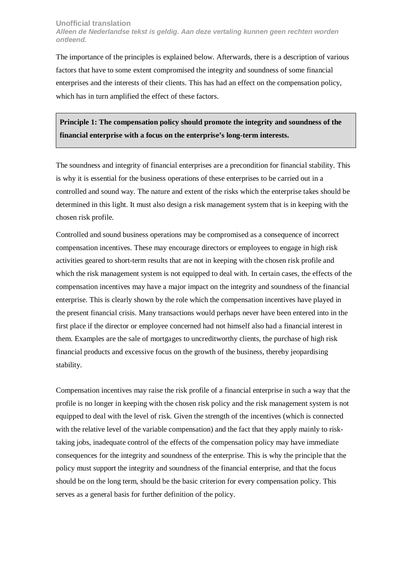The importance of the principles is explained below. Afterwards, there is a description of various factors that have to some extent compromised the integrity and soundness of some financial enterprises and the interests of their clients. This has had an effect on the compensation policy, which has in turn amplified the effect of these factors.

**Principle 1: The compensation policy should promote the integrity and soundness of the financial enterprise with a focus on the enterprise's long-term interests.** 

The soundness and integrity of financial enterprises are a precondition for financial stability. This is why it is essential for the business operations of these enterprises to be carried out in a controlled and sound way. The nature and extent of the risks which the enterprise takes should be determined in this light. It must also design a risk management system that is in keeping with the chosen risk profile.

Controlled and sound business operations may be compromised as a consequence of incorrect compensation incentives. These may encourage directors or employees to engage in high risk activities geared to short-term results that are not in keeping with the chosen risk profile and which the risk management system is not equipped to deal with. In certain cases, the effects of the compensation incentives may have a major impact on the integrity and soundness of the financial enterprise. This is clearly shown by the role which the compensation incentives have played in the present financial crisis. Many transactions would perhaps never have been entered into in the first place if the director or employee concerned had not himself also had a financial interest in them. Examples are the sale of mortgages to uncreditworthy clients, the purchase of high risk financial products and excessive focus on the growth of the business, thereby jeopardising stability.

Compensation incentives may raise the risk profile of a financial enterprise in such a way that the profile is no longer in keeping with the chosen risk policy and the risk management system is not equipped to deal with the level of risk. Given the strength of the incentives (which is connected with the relative level of the variable compensation) and the fact that they apply mainly to risktaking jobs, inadequate control of the effects of the compensation policy may have immediate consequences for the integrity and soundness of the enterprise. This is why the principle that the policy must support the integrity and soundness of the financial enterprise, and that the focus should be on the long term, should be the basic criterion for every compensation policy. This serves as a general basis for further definition of the policy.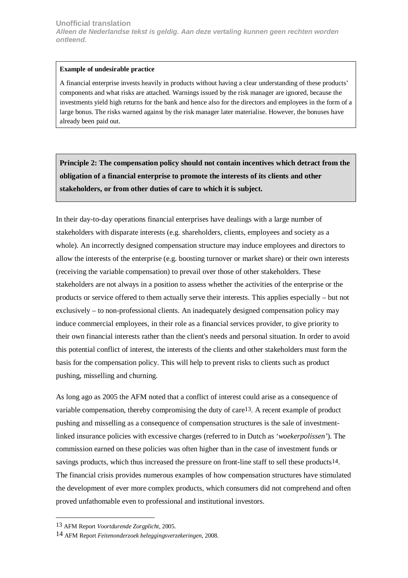#### **Example of undesirable practice**

A financial enterprise invests heavily in products without having a clear understanding of these products' components and what risks are attached. Warnings issued by the risk manager are ignored, because the investments yield high returns for the bank and hence also for the directors and employees in the form of a large bonus. The risks warned against by the risk manager later materialise. However, the bonuses have already been paid out.

**Principle 2: The compensation policy should not contain incentives which detract from the obligation of a financial enterprise to promote the interests of its clients and other stakeholders, or from other duties of care to which it is subject.**

In their day-to-day operations financial enterprises have dealings with a large number of stakeholders with disparate interests (e.g. shareholders, clients, employees and society as a whole). An incorrectly designed compensation structure may induce employees and directors to allow the interests of the enterprise (e.g. boosting turnover or market share) or their own interests (receiving the variable compensation) to prevail over those of other stakeholders. These stakeholders are not always in a position to assess whether the activities of the enterprise or the products or service offered to them actually serve their interests. This applies especially – but not exclusively – to non-professional clients. An inadequately designed compensation policy may induce commercial employees, in their role as a financial services provider, to give priority to their own financial interests rather than the client's needs and personal situation. In order to avoid this potential conflict of interest, the interests of the clients and other stakeholders must form the basis for the compensation policy. This will help to prevent risks to clients such as product pushing, misselling and churning.

As long ago as 2005 the AFM noted that a conflict of interest could arise as a consequence of variable compensation, thereby compromising the duty of care13. A recent example of product pushing and misselling as a consequence of compensation structures is the sale of investmentlinked insurance policies with excessive charges (referred to in Dutch as '*woekerpolissen'*). The commission earned on these policies was often higher than in the case of investment funds or savings products, which thus increased the pressure on front-line staff to sell these products14. The financial crisis provides numerous examples of how compensation structures have stimulated the development of ever more complex products, which consumers did not comprehend and often proved unfathomable even to professional and institutional investors.

 $\overline{a}$ 

<sup>13</sup> AFM Report *Voortdurende Zorgplicht*, 2005.

<sup>14</sup> AFM Report *Feitenonderzoek beleggingsverzekeringen,* 2008.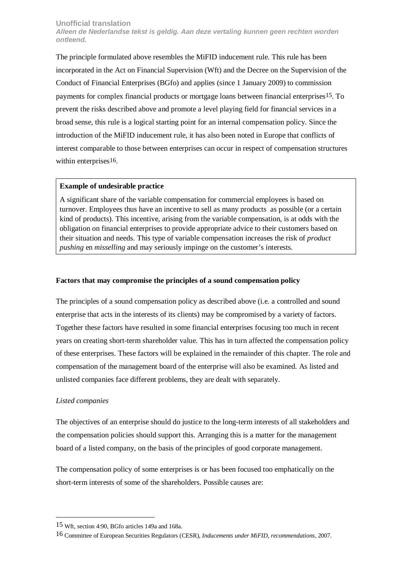The principle formulated above resembles the MiFID inducement rule. This rule has been incorporated in the Act on Financial Supervision (Wft) and the Decree on the Supervision of the Conduct of Financial Enterprises (BGfo) and applies (since 1 January 2009) to commission payments for complex financial products or mortgage loans between financial enterprises15. To prevent the risks described above and promote a level playing field for financial services in a broad sense, this rule is a logical starting point for an internal compensation policy. Since the introduction of the MiFID inducement rule, it has also been noted in Europe that conflicts of interest comparable to those between enterprises can occur in respect of compensation structures within enterprises<sup>16</sup>.

#### **Example of undesirable practice**

A significant share of the variable compensation for commercial employees is based on turnover. Employees thus have an incentive to sell as many products as possible (or a certain kind of products). This incentive, arising from the variable compensation, is at odds with the obligation on financial enterprises to provide appropriate advice to their customers based on their situation and needs. This type of variable compensation increases the risk of *product pushing* en *misselling* and may seriously impinge on the customer's interests.

#### **Factors that may compromise the principles of a sound compensation policy**

The principles of a sound compensation policy as described above (i.e. a controlled and sound enterprise that acts in the interests of its clients) may be compromised by a variety of factors. Together these factors have resulted in some financial enterprises focusing too much in recent years on creating short-term shareholder value. This has in turn affected the compensation policy of these enterprises. These factors will be explained in the remainder of this chapter. The role and compensation of the management board of the enterprise will also be examined. As listed and unlisted companies face different problems, they are dealt with separately.

#### *Listed companies*

 $\overline{a}$ 

The objectives of an enterprise should do justice to the long-term interests of all stakeholders and the compensation policies should support this. Arranging this is a matter for the management board of a listed company, on the basis of the principles of good corporate management.

The compensation policy of some enterprises is or has been focused too emphatically on the short-term interests of some of the shareholders. Possible causes are:

<sup>15</sup> Wft, section 4:90, BGfo articles 149a and 168a.

<sup>16</sup> Committee of European Securities Regulators (CESR), *Inducements under MiFID, recommendations*, 2007.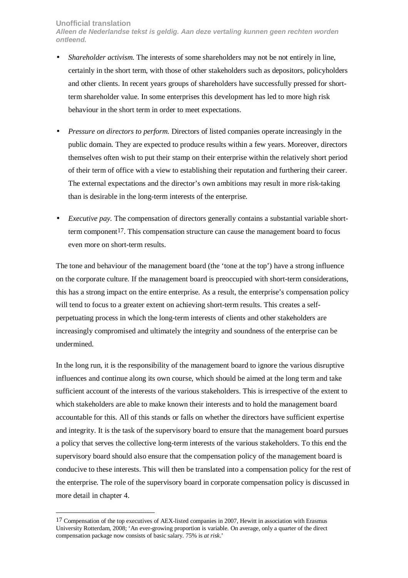#### **Unofficial translation**

 $\overline{a}$ 

**Alleen de Nederlandse tekst is geldig. Aan deze vertaling kunnen geen rechten worden ontleend.** 

- *Shareholder activism.* The interests of some shareholders may not be not entirely in line, certainly in the short term, with those of other stakeholders such as depositors, policyholders and other clients. In recent years groups of shareholders have successfully pressed for shortterm shareholder value. In some enterprises this development has led to more high risk behaviour in the short term in order to meet expectations.
- *Pressure on directors to perform.* Directors of listed companies operate increasingly in the public domain. They are expected to produce results within a few years. Moreover, directors themselves often wish to put their stamp on their enterprise within the relatively short period of their term of office with a view to establishing their reputation and furthering their career. The external expectations and the director's own ambitions may result in more risk-taking than is desirable in the long-term interests of the enterprise.
- *Executive pay.* The compensation of directors generally contains a substantial variable shortterm component17. This compensation structure can cause the management board to focus even more on short-term results.

The tone and behaviour of the management board (the 'tone at the top') have a strong influence on the corporate culture. If the management board is preoccupied with short-term considerations, this has a strong impact on the entire enterprise. As a result, the enterprise's compensation policy will tend to focus to a greater extent on achieving short-term results. This creates a selfperpetuating process in which the long-term interests of clients and other stakeholders are increasingly compromised and ultimately the integrity and soundness of the enterprise can be undermined.

In the long run, it is the responsibility of the management board to ignore the various disruptive influences and continue along its own course, which should be aimed at the long term and take sufficient account of the interests of the various stakeholders. This is irrespective of the extent to which stakeholders are able to make known their interests and to hold the management board accountable for this. All of this stands or falls on whether the directors have sufficient expertise and integrity. It is the task of the supervisory board to ensure that the management board pursues a policy that serves the collective long-term interests of the various stakeholders. To this end the supervisory board should also ensure that the compensation policy of the management board is conducive to these interests. This will then be translated into a compensation policy for the rest of the enterprise. The role of the supervisory board in corporate compensation policy is discussed in more detail in chapter 4.

<sup>17</sup> Compensation of the top executives of AEX-listed companies in 2007, Hewitt in association with Erasmus University Rotterdam, 2008; 'An ever-growing proportion is variable. On average, only a quarter of the direct compensation package now consists of basic salary. 75% is *at risk*.'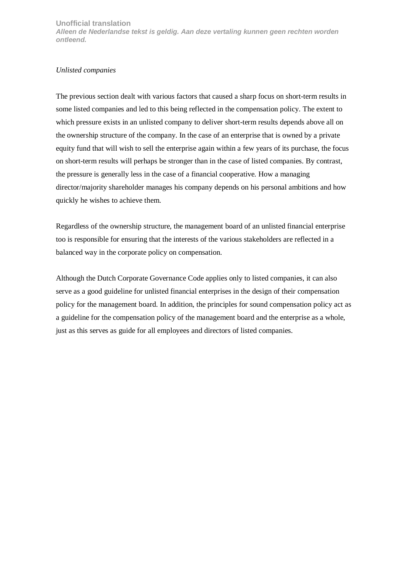#### *Unlisted companies*

The previous section dealt with various factors that caused a sharp focus on short-term results in some listed companies and led to this being reflected in the compensation policy. The extent to which pressure exists in an unlisted company to deliver short-term results depends above all on the ownership structure of the company. In the case of an enterprise that is owned by a private equity fund that will wish to sell the enterprise again within a few years of its purchase, the focus on short-term results will perhaps be stronger than in the case of listed companies. By contrast, the pressure is generally less in the case of a financial cooperative. How a managing director/majority shareholder manages his company depends on his personal ambitions and how quickly he wishes to achieve them.

Regardless of the ownership structure, the management board of an unlisted financial enterprise too is responsible for ensuring that the interests of the various stakeholders are reflected in a balanced way in the corporate policy on compensation.

Although the Dutch Corporate Governance Code applies only to listed companies, it can also serve as a good guideline for unlisted financial enterprises in the design of their compensation policy for the management board. In addition, the principles for sound compensation policy act as a guideline for the compensation policy of the management board and the enterprise as a whole, just as this serves as guide for all employees and directors of listed companies.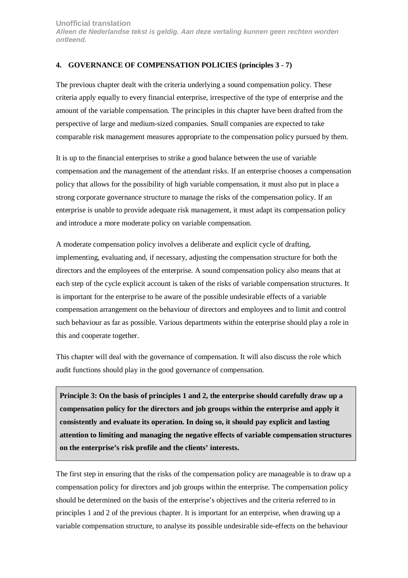# <span id="page-14-0"></span>**4. GOVERNANCE OF COMPENSATION POLICIES (principles 3 - 7)**

The previous chapter dealt with the criteria underlying a sound compensation policy. These criteria apply equally to every financial enterprise, irrespective of the type of enterprise and the amount of the variable compensation. The principles in this chapter have been drafted from the perspective of large and medium-sized companies. Small companies are expected to take comparable risk management measures appropriate to the compensation policy pursued by them.

It is up to the financial enterprises to strike a good balance between the use of variable compensation and the management of the attendant risks. If an enterprise chooses a compensation policy that allows for the possibility of high variable compensation, it must also put in place a strong corporate governance structure to manage the risks of the compensation policy. If an enterprise is unable to provide adequate risk management, it must adapt its compensation policy and introduce a more moderate policy on variable compensation.

A moderate compensation policy involves a deliberate and explicit cycle of drafting, implementing, evaluating and, if necessary, adjusting the compensation structure for both the directors and the employees of the enterprise. A sound compensation policy also means that at each step of the cycle explicit account is taken of the risks of variable compensation structures. It is important for the enterprise to be aware of the possible undesirable effects of a variable compensation arrangement on the behaviour of directors and employees and to limit and control such behaviour as far as possible. Various departments within the enterprise should play a role in this and cooperate together.

This chapter will deal with the governance of compensation. It will also discuss the role which audit functions should play in the good governance of compensation.

**Principle 3: On the basis of principles 1 and 2, the enterprise should carefully draw up a compensation policy for the directors and job groups within the enterprise and apply it consistently and evaluate its operation. In doing so, it should pay explicit and lasting attention to limiting and managing the negative effects of variable compensation structures on the enterprise's risk profile and the clients' interests.** 

The first step in ensuring that the risks of the compensation policy are manageable is to draw up a compensation policy for directors and job groups within the enterprise. The compensation policy should be determined on the basis of the enterprise's objectives and the criteria referred to in principles 1 and 2 of the previous chapter. It is important for an enterprise, when drawing up a variable compensation structure, to analyse its possible undesirable side-effects on the behaviour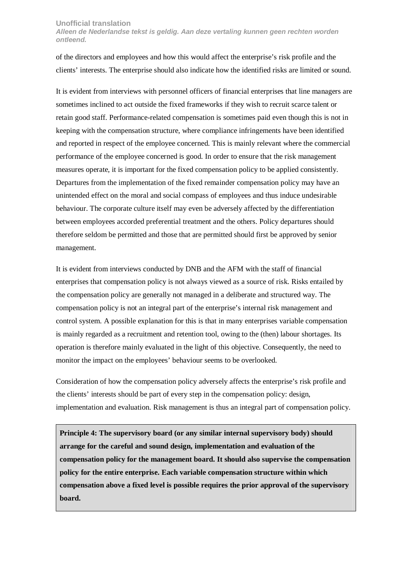of the directors and employees and how this would affect the enterprise's risk profile and the clients' interests. The enterprise should also indicate how the identified risks are limited or sound.

It is evident from interviews with personnel officers of financial enterprises that line managers are sometimes inclined to act outside the fixed frameworks if they wish to recruit scarce talent or retain good staff. Performance-related compensation is sometimes paid even though this is not in keeping with the compensation structure, where compliance infringements have been identified and reported in respect of the employee concerned. This is mainly relevant where the commercial performance of the employee concerned is good. In order to ensure that the risk management measures operate, it is important for the fixed compensation policy to be applied consistently. Departures from the implementation of the fixed remainder compensation policy may have an unintended effect on the moral and social compass of employees and thus induce undesirable behaviour. The corporate culture itself may even be adversely affected by the differentiation between employees accorded preferential treatment and the others. Policy departures should therefore seldom be permitted and those that are permitted should first be approved by senior management.

It is evident from interviews conducted by DNB and the AFM with the staff of financial enterprises that compensation policy is not always viewed as a source of risk. Risks entailed by the compensation policy are generally not managed in a deliberate and structured way. The compensation policy is not an integral part of the enterprise's internal risk management and control system. A possible explanation for this is that in many enterprises variable compensation is mainly regarded as a recruitment and retention tool, owing to the (then) labour shortages. Its operation is therefore mainly evaluated in the light of this objective. Consequently, the need to monitor the impact on the employees' behaviour seems to be overlooked.

Consideration of how the compensation policy adversely affects the enterprise's risk profile and the clients' interests should be part of every step in the compensation policy: design, implementation and evaluation. Risk management is thus an integral part of compensation policy.

**Principle 4: The supervisory board (or any similar internal supervisory body) should arrange for the careful and sound design, implementation and evaluation of the compensation policy for the management board. It should also supervise the compensation policy for the entire enterprise. Each variable compensation structure within which compensation above a fixed level is possible requires the prior approval of the supervisory board.**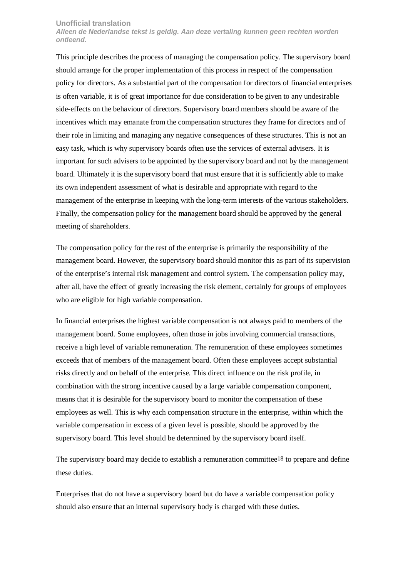#### **Unofficial translation**

**Alleen de Nederlandse tekst is geldig. Aan deze vertaling kunnen geen rechten worden ontleend.** 

This principle describes the process of managing the compensation policy. The supervisory board should arrange for the proper implementation of this process in respect of the compensation policy for directors. As a substantial part of the compensation for directors of financial enterprises is often variable, it is of great importance for due consideration to be given to any undesirable side-effects on the behaviour of directors. Supervisory board members should be aware of the incentives which may emanate from the compensation structures they frame for directors and of their role in limiting and managing any negative consequences of these structures. This is not an easy task, which is why supervisory boards often use the services of external advisers. It is important for such advisers to be appointed by the supervisory board and not by the management board. Ultimately it is the supervisory board that must ensure that it is sufficiently able to make its own independent assessment of what is desirable and appropriate with regard to the management of the enterprise in keeping with the long-term interests of the various stakeholders. Finally, the compensation policy for the management board should be approved by the general meeting of shareholders.

The compensation policy for the rest of the enterprise is primarily the responsibility of the management board. However, the supervisory board should monitor this as part of its supervision of the enterprise's internal risk management and control system. The compensation policy may, after all, have the effect of greatly increasing the risk element, certainly for groups of employees who are eligible for high variable compensation.

In financial enterprises the highest variable compensation is not always paid to members of the management board. Some employees, often those in jobs involving commercial transactions, receive a high level of variable remuneration. The remuneration of these employees sometimes exceeds that of members of the management board. Often these employees accept substantial risks directly and on behalf of the enterprise. This direct influence on the risk profile, in combination with the strong incentive caused by a large variable compensation component, means that it is desirable for the supervisory board to monitor the compensation of these employees as well. This is why each compensation structure in the enterprise, within which the variable compensation in excess of a given level is possible, should be approved by the supervisory board. This level should be determined by the supervisory board itself.

The supervisory board may decide to establish a remuneration committee<sup>18</sup> to prepare and define these duties.

Enterprises that do not have a supervisory board but do have a variable compensation policy should also ensure that an internal supervisory body is charged with these duties.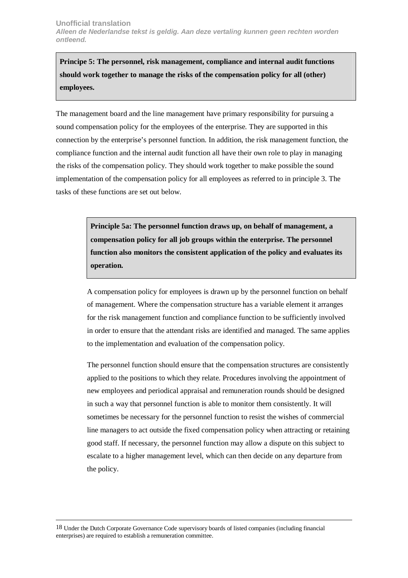**Principe 5: The personnel, risk management, compliance and internal audit functions should work together to manage the risks of the compensation policy for all (other) employees.** 

The management board and the line management have primary responsibility for pursuing a sound compensation policy for the employees of the enterprise. They are supported in this connection by the enterprise's personnel function. In addition, the risk management function, the compliance function and the internal audit function all have their own role to play in managing the risks of the compensation policy. They should work together to make possible the sound implementation of the compensation policy for all employees as referred to in principle 3. The tasks of these functions are set out below.

> **Principle 5a: The personnel function draws up, on behalf of management, a compensation policy for all job groups within the enterprise. The personnel function also monitors the consistent application of the policy and evaluates its operation.**

A compensation policy for employees is drawn up by the personnel function on behalf of management. Where the compensation structure has a variable element it arranges for the risk management function and compliance function to be sufficiently involved in order to ensure that the attendant risks are identified and managed. The same applies to the implementation and evaluation of the compensation policy.

The personnel function should ensure that the compensation structures are consistently applied to the positions to which they relate. Procedures involving the appointment of new employees and periodical appraisal and remuneration rounds should be designed in such a way that personnel function is able to monitor them consistently. It will sometimes be necessary for the personnel function to resist the wishes of commercial line managers to act outside the fixed compensation policy when attracting or retaining good staff. If necessary, the personnel function may allow a dispute on this subject to escalate to a higher management level, which can then decide on any departure from the policy.

 $\overline{a}$ 

<sup>18</sup> Under the Dutch Corporate Governance Code supervisory boards of listed companies (including financial enterprises) are required to establish a remuneration committee.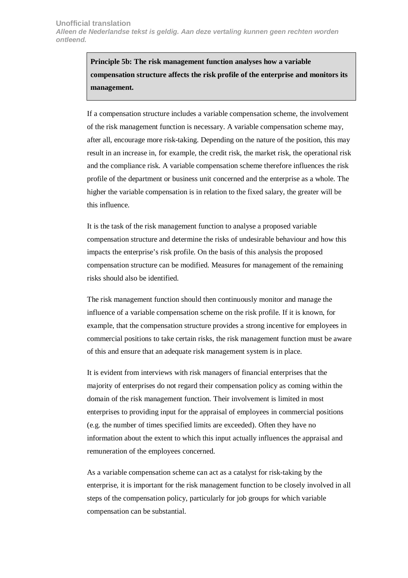**Principle 5b: The risk management function analyses how a variable compensation structure affects the risk profile of the enterprise and monitors its management.** 

If a compensation structure includes a variable compensation scheme, the involvement of the risk management function is necessary. A variable compensation scheme may, after all, encourage more risk-taking. Depending on the nature of the position, this may result in an increase in, for example, the credit risk, the market risk, the operational risk and the compliance risk. A variable compensation scheme therefore influences the risk profile of the department or business unit concerned and the enterprise as a whole. The higher the variable compensation is in relation to the fixed salary, the greater will be this influence.

It is the task of the risk management function to analyse a proposed variable compensation structure and determine the risks of undesirable behaviour and how this impacts the enterprise's risk profile. On the basis of this analysis the proposed compensation structure can be modified. Measures for management of the remaining risks should also be identified.

The risk management function should then continuously monitor and manage the influence of a variable compensation scheme on the risk profile. If it is known, for example, that the compensation structure provides a strong incentive for employees in commercial positions to take certain risks, the risk management function must be aware of this and ensure that an adequate risk management system is in place.

It is evident from interviews with risk managers of financial enterprises that the majority of enterprises do not regard their compensation policy as coming within the domain of the risk management function. Their involvement is limited in most enterprises to providing input for the appraisal of employees in commercial positions (e.g. the number of times specified limits are exceeded). Often they have no information about the extent to which this input actually influences the appraisal and remuneration of the employees concerned.

As a variable compensation scheme can act as a catalyst for risk-taking by the enterprise, it is important for the risk management function to be closely involved in all steps of the compensation policy, particularly for job groups for which variable compensation can be substantial.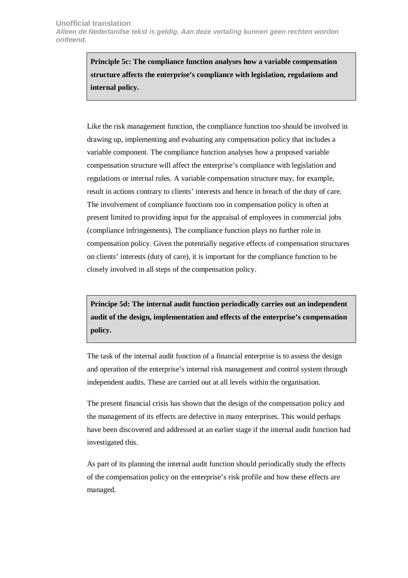**Principle 5c: The compliance function analyses how a variable compensation structure affects the enterprise's compliance with legislation, regulations and internal policy.** 

Like the risk management function, the compliance function too should be involved in drawing up, implementing and evaluating any compensation policy that includes a variable component. The compliance function analyses how a proposed variable compensation structure will affect the enterprise's compliance with legislation and regulations or internal rules. A variable compensation structure may, for example, result in actions contrary to clients' interests and hence in breach of the duty of care. The involvement of compliance functions too in compensation policy is often at present limited to providing input for the appraisal of employees in commercial jobs (compliance infringements). The compliance function plays no further role in compensation policy. Given the potentially negative effects of compensation structures on clients' interests (duty of care), it is important for the compliance function to be closely involved in all steps of the compensation policy.

**Principe 5d: The internal audit function periodically carries out an independent audit of the design, implementation and effects of the enterprise's compensation policy.** 

The task of the internal audit function of a financial enterprise is to assess the design and operation of the enterprise's internal risk management and control system through independent audits. These are carried out at all levels within the organisation.

The present financial crisis has shown that the design of the compensation policy and the management of its effects are defective in many enterprises. This would perhaps have been discovered and addressed at an earlier stage if the internal audit function had investigated this.

As part of its planning the internal audit function should periodically study the effects of the compensation policy on the enterprise's risk profile and how these effects are managed.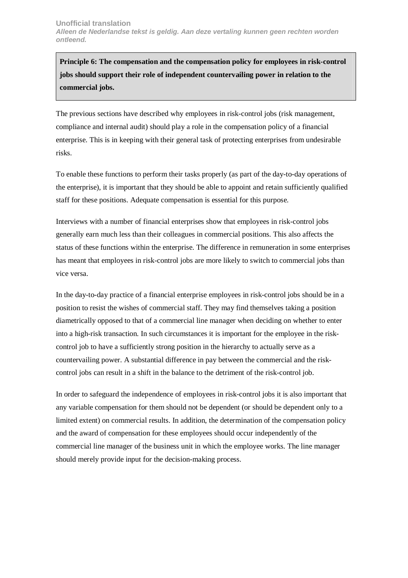**Principle 6: The compensation and the compensation policy for employees in risk-control jobs should support their role of independent countervailing power in relation to the commercial jobs.** 

The previous sections have described why employees in risk-control jobs (risk management, compliance and internal audit) should play a role in the compensation policy of a financial enterprise. This is in keeping with their general task of protecting enterprises from undesirable risks.

To enable these functions to perform their tasks properly (as part of the day-to-day operations of the enterprise), it is important that they should be able to appoint and retain sufficiently qualified staff for these positions. Adequate compensation is essential for this purpose.

Interviews with a number of financial enterprises show that employees in risk-control jobs generally earn much less than their colleagues in commercial positions. This also affects the status of these functions within the enterprise. The difference in remuneration in some enterprises has meant that employees in risk-control jobs are more likely to switch to commercial jobs than vice versa.

In the day-to-day practice of a financial enterprise employees in risk-control jobs should be in a position to resist the wishes of commercial staff. They may find themselves taking a position diametrically opposed to that of a commercial line manager when deciding on whether to enter into a high-risk transaction. In such circumstances it is important for the employee in the riskcontrol job to have a sufficiently strong position in the hierarchy to actually serve as a countervailing power. A substantial difference in pay between the commercial and the riskcontrol jobs can result in a shift in the balance to the detriment of the risk-control job.

In order to safeguard the independence of employees in risk-control jobs it is also important that any variable compensation for them should not be dependent (or should be dependent only to a limited extent) on commercial results. In addition, the determination of the compensation policy and the award of compensation for these employees should occur independently of the commercial line manager of the business unit in which the employee works. The line manager should merely provide input for the decision-making process.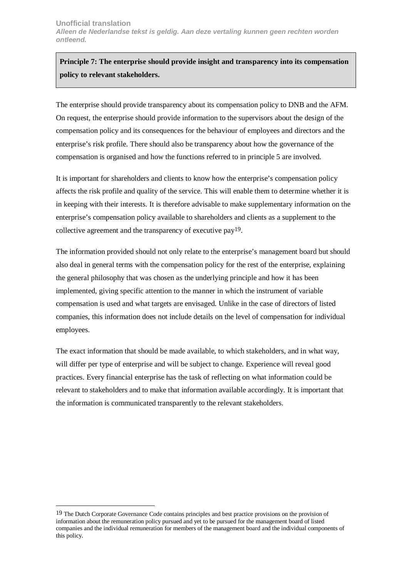**Principle 7: The enterprise should provide insight and transparency into its compensation policy to relevant stakeholders.** 

The enterprise should provide transparency about its compensation policy to DNB and the AFM. On request, the enterprise should provide information to the supervisors about the design of the compensation policy and its consequences for the behaviour of employees and directors and the enterprise's risk profile. There should also be transparency about how the governance of the compensation is organised and how the functions referred to in principle 5 are involved.

It is important for shareholders and clients to know how the enterprise's compensation policy affects the risk profile and quality of the service. This will enable them to determine whether it is in keeping with their interests. It is therefore advisable to make supplementary information on the enterprise's compensation policy available to shareholders and clients as a supplement to the collective agreement and the transparency of executive pay19.

The information provided should not only relate to the enterprise's management board but should also deal in general terms with the compensation policy for the rest of the enterprise, explaining the general philosophy that was chosen as the underlying principle and how it has been implemented, giving specific attention to the manner in which the instrument of variable compensation is used and what targets are envisaged. Unlike in the case of directors of listed companies, this information does not include details on the level of compensation for individual employees.

The exact information that should be made available, to which stakeholders, and in what way, will differ per type of enterprise and will be subject to change. Experience will reveal good practices. Every financial enterprise has the task of reflecting on what information could be relevant to stakeholders and to make that information available accordingly. It is important that the information is communicated transparently to the relevant stakeholders.

 $\overline{a}$ 

<sup>19</sup> The Dutch Corporate Governance Code contains principles and best practice provisions on the provision of information about the remuneration policy pursued and yet to be pursued for the management board of listed companies and the individual remuneration for members of the management board and the individual components of this policy.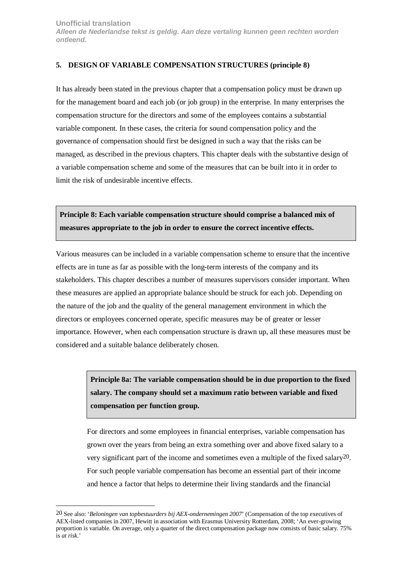#### <span id="page-22-0"></span>**5. DESIGN OF VARIABLE COMPENSATION STRUCTURES (principle 8)**

It has already been stated in the previous chapter that a compensation policy must be drawn up for the management board and each job (or job group) in the enterprise. In many enterprises the compensation structure for the directors and some of the employees contains a substantial variable component. In these cases, the criteria for sound compensation policy and the governance of compensation should first be designed in such a way that the risks can be managed, as described in the previous chapters. This chapter deals with the substantive design of a variable compensation scheme and some of the measures that can be built into it in order to limit the risk of undesirable incentive effects.

**Principle 8: Each variable compensation structure should comprise a balanced mix of measures appropriate to the job in order to ensure the correct incentive effects.** 

Various measures can be included in a variable compensation scheme to ensure that the incentive effects are in tune as far as possible with the long-term interests of the company and its stakeholders. This chapter describes a number of measures supervisors consider important. When these measures are applied an appropriate balance should be struck for each job. Depending on the nature of the job and the quality of the general management environment in which the directors or employees concerned operate, specific measures may be of greater or lesser importance. However, when each compensation structure is drawn up, all these measures must be considered and a suitable balance deliberately chosen.

> **Principle 8a: The variable compensation should be in due proportion to the fixed salary. The company should set a maximum ratio between variable and fixed compensation per function group.**

> For directors and some employees in financial enterprises, variable compensation has grown over the years from being an extra something over and above fixed salary to a very significant part of the income and sometimes even a multiple of the fixed salary20. For such people variable compensation has become an essential part of their income and hence a factor that helps to determine their living standards and the financial

 $\overline{a}$ 

<sup>20</sup> See also: '*Beloningen van topbestuurders bij AEX-ondernemingen 2007*' (Compensation of the top executives of AEX-listed companies in 2007, Hewitt in association with Erasmus University Rotterdam, 2008; 'An ever-growing proportion is variable. On average, only a quarter of the direct compensation package now consists of basic salary. 75% is *at risk*.'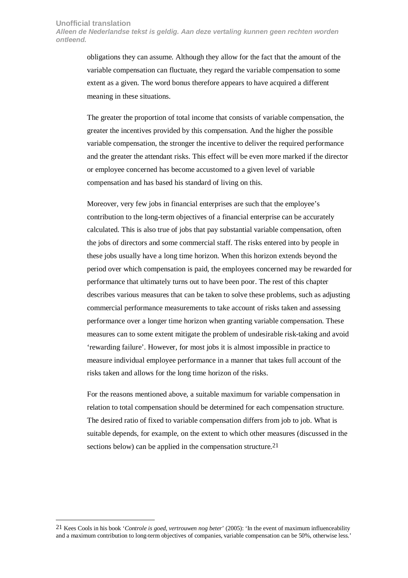#### **Unofficial translation**

 $\overline{a}$ 

**Alleen de Nederlandse tekst is geldig. Aan deze vertaling kunnen geen rechten worden ontleend.** 

> obligations they can assume. Although they allow for the fact that the amount of the variable compensation can fluctuate, they regard the variable compensation to some extent as a given. The word bonus therefore appears to have acquired a different meaning in these situations.

The greater the proportion of total income that consists of variable compensation, the greater the incentives provided by this compensation. And the higher the possible variable compensation, the stronger the incentive to deliver the required performance and the greater the attendant risks. This effect will be even more marked if the director or employee concerned has become accustomed to a given level of variable compensation and has based his standard of living on this.

Moreover, very few jobs in financial enterprises are such that the employee's contribution to the long-term objectives of a financial enterprise can be accurately calculated. This is also true of jobs that pay substantial variable compensation, often the jobs of directors and some commercial staff. The risks entered into by people in these jobs usually have a long time horizon. When this horizon extends beyond the period over which compensation is paid, the employees concerned may be rewarded for performance that ultimately turns out to have been poor. The rest of this chapter describes various measures that can be taken to solve these problems, such as adjusting commercial performance measurements to take account of risks taken and assessing performance over a longer time horizon when granting variable compensation. These measures can to some extent mitigate the problem of undesirable risk-taking and avoid 'rewarding failure'. However, for most jobs it is almost impossible in practice to measure individual employee performance in a manner that takes full account of the risks taken and allows for the long time horizon of the risks.

For the reasons mentioned above, a suitable maximum for variable compensation in relation to total compensation should be determined for each compensation structure. The desired ratio of fixed to variable compensation differs from job to job. What is suitable depends, for example, on the extent to which other measures (discussed in the sections below) can be applied in the compensation structure.<sup>21</sup>

<sup>21</sup> Kees Cools in his book '*Controle is goed, vertrouwen nog beter*' (2005): 'In the event of maximum influenceability and a maximum contribution to long-term objectives of companies, variable compensation can be 50%, otherwise less.'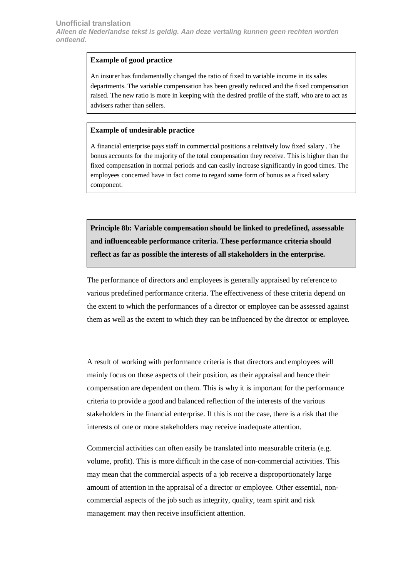#### **Example of good practice**

An insurer has fundamentally changed the ratio of fixed to variable income in its sales departments. The variable compensation has been greatly reduced and the fixed compensation raised. The new ratio is more in keeping with the desired profile of the staff, who are to act as advisers rather than sellers.

#### **Example of undesirable practice**

A financial enterprise pays staff in commercial positions a relatively low fixed salary . The bonus accounts for the majority of the total compensation they receive. This is higher than the fixed compensation in normal periods and can easily increase significantly in good times. The employees concerned have in fact come to regard some form of bonus as a fixed salary component.

**Principle 8b: Variable compensation should be linked to predefined, assessable and influenceable performance criteria. These performance criteria should reflect as far as possible the interests of all stakeholders in the enterprise.** 

The performance of directors and employees is generally appraised by reference to various predefined performance criteria. The effectiveness of these criteria depend on the extent to which the performances of a director or employee can be assessed against them as well as the extent to which they can be influenced by the director or employee.

A result of working with performance criteria is that directors and employees will mainly focus on those aspects of their position, as their appraisal and hence their compensation are dependent on them. This is why it is important for the performance criteria to provide a good and balanced reflection of the interests of the various stakeholders in the financial enterprise. If this is not the case, there is a risk that the interests of one or more stakeholders may receive inadequate attention.

Commercial activities can often easily be translated into measurable criteria (e.g. volume, profit). This is more difficult in the case of non-commercial activities. This may mean that the commercial aspects of a job receive a disproportionately large amount of attention in the appraisal of a director or employee. Other essential, noncommercial aspects of the job such as integrity, quality, team spirit and risk management may then receive insufficient attention.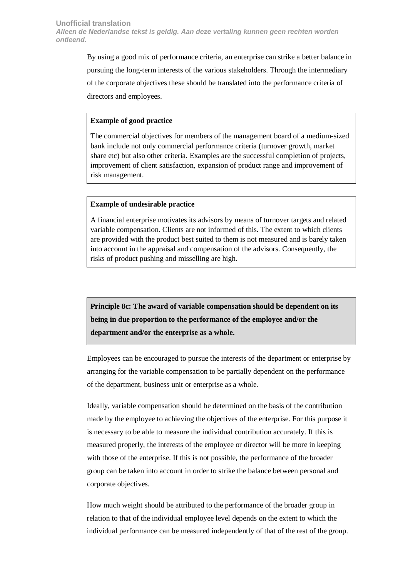By using a good mix of performance criteria, an enterprise can strike a better balance in pursuing the long-term interests of the various stakeholders. Through the intermediary of the corporate objectives these should be translated into the performance criteria of directors and employees.

#### **Example of good practice**

The commercial objectives for members of the management board of a medium-sized bank include not only commercial performance criteria (turnover growth, market share etc) but also other criteria. Examples are the successful completion of projects, improvement of client satisfaction, expansion of product range and improvement of risk management.

#### **Example of undesirable practice**

A financial enterprise motivates its advisors by means of turnover targets and related variable compensation. Clients are not informed of this. The extent to which clients are provided with the product best suited to them is not measured and is barely taken into account in the appraisal and compensation of the advisors. Consequently, the risks of product pushing and misselling are high.

**Principle 8c: The award of variable compensation should be dependent on its being in due proportion to the performance of the employee and/or the department and/or the enterprise as a whole.** 

Employees can be encouraged to pursue the interests of the department or enterprise by arranging for the variable compensation to be partially dependent on the performance of the department, business unit or enterprise as a whole.

Ideally, variable compensation should be determined on the basis of the contribution made by the employee to achieving the objectives of the enterprise. For this purpose it is necessary to be able to measure the individual contribution accurately. If this is measured properly, the interests of the employee or director will be more in keeping with those of the enterprise. If this is not possible, the performance of the broader group can be taken into account in order to strike the balance between personal and corporate objectives.

How much weight should be attributed to the performance of the broader group in relation to that of the individual employee level depends on the extent to which the individual performance can be measured independently of that of the rest of the group.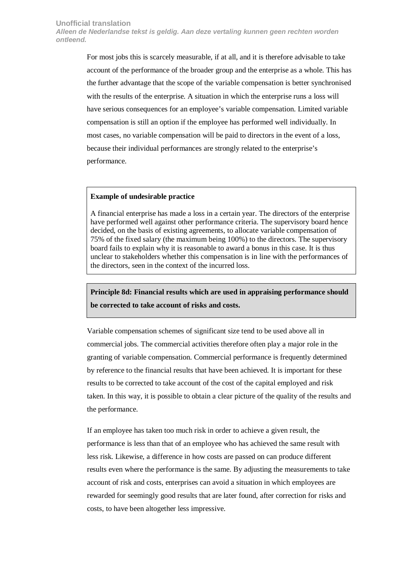For most jobs this is scarcely measurable, if at all, and it is therefore advisable to take account of the performance of the broader group and the enterprise as a whole. This has the further advantage that the scope of the variable compensation is better synchronised with the results of the enterprise. A situation in which the enterprise runs a loss will have serious consequences for an employee's variable compensation. Limited variable compensation is still an option if the employee has performed well individually. In most cases, no variable compensation will be paid to directors in the event of a loss, because their individual performances are strongly related to the enterprise's performance.

#### **Example of undesirable practice**

A financial enterprise has made a loss in a certain year. The directors of the enterprise have performed well against other performance criteria. The supervisory board hence decided, on the basis of existing agreements, to allocate variable compensation of 75% of the fixed salary (the maximum being 100%) to the directors. The supervisory board fails to explain why it is reasonable to award a bonus in this case. It is thus unclear to stakeholders whether this compensation is in line with the performances of the directors, seen in the context of the incurred loss.

# **Principle 8d: Financial results which are used in appraising performance should be corrected to take account of risks and costs.**

Variable compensation schemes of significant size tend to be used above all in commercial jobs. The commercial activities therefore often play a major role in the granting of variable compensation. Commercial performance is frequently determined by reference to the financial results that have been achieved. It is important for these results to be corrected to take account of the cost of the capital employed and risk taken. In this way, it is possible to obtain a clear picture of the quality of the results and the performance.

If an employee has taken too much risk in order to achieve a given result, the performance is less than that of an employee who has achieved the same result with less risk. Likewise, a difference in how costs are passed on can produce different results even where the performance is the same. By adjusting the measurements to take account of risk and costs, enterprises can avoid a situation in which employees are rewarded for seemingly good results that are later found, after correction for risks and costs, to have been altogether less impressive.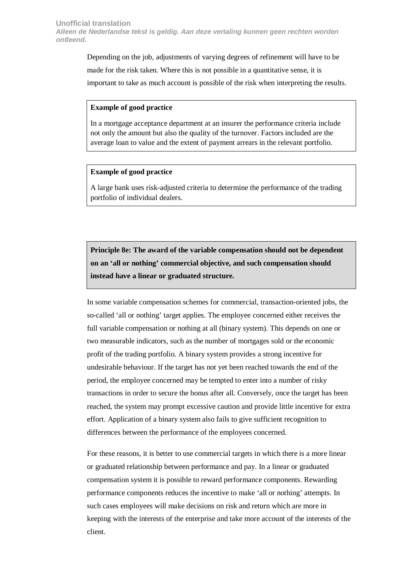Depending on the job, adjustments of varying degrees of refinement will have to be made for the risk taken. Where this is not possible in a quantitative sense, it is important to take as much account is possible of the risk when interpreting the results.

#### **Example of good practice**

In a mortgage acceptance department at an insurer the performance criteria include not only the amount but also the quality of the turnover. Factors included are the average loan to value and the extent of payment arrears in the relevant portfolio.

#### **Example of good practice**

A large bank uses risk-adjusted criteria to determine the performance of the trading portfolio of individual dealers.

**Principle 8e: The award of the variable compensation should not be dependent on an 'all or nothing' commercial objective, and such compensation should instead have a linear or graduated structure.**

In some variable compensation schemes for commercial, transaction-oriented jobs, the so-called 'all or nothing' target applies. The employee concerned either receives the full variable compensation or nothing at all (binary system). This depends on one or two measurable indicators, such as the number of mortgages sold or the economic profit of the trading portfolio. A binary system provides a strong incentive for undesirable behaviour. If the target has not yet been reached towards the end of the period, the employee concerned may be tempted to enter into a number of risky transactions in order to secure the bonus after all. Conversely, once the target has been reached, the system may prompt excessive caution and provide little incentive for extra effort. Application of a binary system also fails to give sufficient recognition to differences between the performance of the employees concerned.

For these reasons, it is better to use commercial targets in which there is a more linear or graduated relationship between performance and pay. In a linear or graduated compensation system it is possible to reward performance components. Rewarding performance components reduces the incentive to make 'all or nothing' attempts. In such cases employees will make decisions on risk and return which are more in keeping with the interests of the enterprise and take more account of the interests of the client.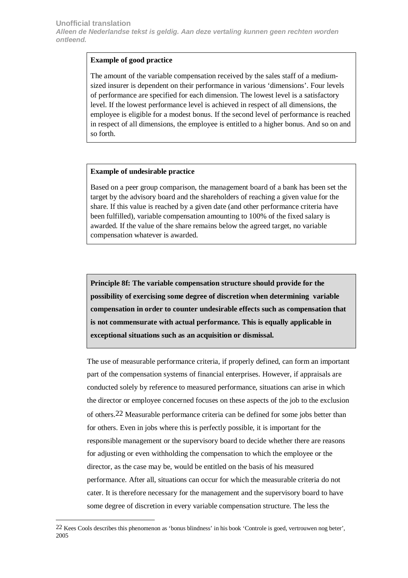# **Example of good practice**

The amount of the variable compensation received by the sales staff of a mediumsized insurer is dependent on their performance in various 'dimensions'. Four levels of performance are specified for each dimension. The lowest level is a satisfactory level. If the lowest performance level is achieved in respect of all dimensions, the employee is eligible for a modest bonus. If the second level of performance is reached in respect of all dimensions, the employee is entitled to a higher bonus. And so on and so forth.

# **Example of undesirable practice**

Based on a peer group comparison, the management board of a bank has been set the target by the advisory board and the shareholders of reaching a given value for the share. If this value is reached by a given date (and other performance criteria have been fulfilled), variable compensation amounting to 100% of the fixed salary is awarded. If the value of the share remains below the agreed target, no variable compensation whatever is awarded.

**Principle 8f: The variable compensation structure should provide for the possibility of exercising some degree of discretion when determining variable compensation in order to counter undesirable effects such as compensation that is not commensurate with actual performance. This is equally applicable in exceptional situations such as an acquisition or dismissal.** 

The use of measurable performance criteria, if properly defined, can form an important part of the compensation systems of financial enterprises. However, if appraisals are conducted solely by reference to measured performance, situations can arise in which the director or employee concerned focuses on these aspects of the job to the exclusion of others.22 Measurable performance criteria can be defined for some jobs better than for others. Even in jobs where this is perfectly possible, it is important for the responsible management or the supervisory board to decide whether there are reasons for adjusting or even withholding the compensation to which the employee or the director, as the case may be, would be entitled on the basis of his measured performance. After all, situations can occur for which the measurable criteria do not cater. It is therefore necessary for the management and the supervisory board to have some degree of discretion in every variable compensation structure. The less the

 $\overline{a}$ 

<sup>22</sup> Kees Cools describes this phenomenon as 'bonus blindness' in his book 'Controle is goed, vertrouwen nog beter', 2005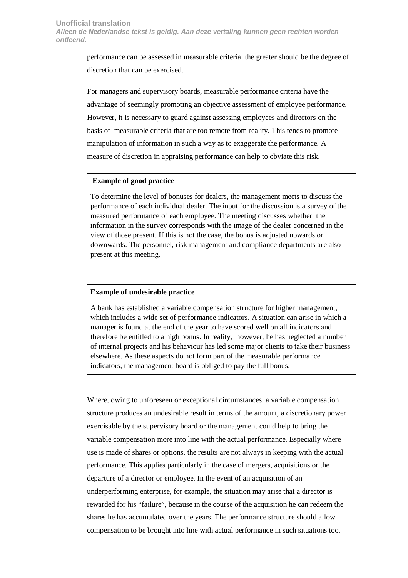performance can be assessed in measurable criteria, the greater should be the degree of discretion that can be exercised.

For managers and supervisory boards, measurable performance criteria have the advantage of seemingly promoting an objective assessment of employee performance. However, it is necessary to guard against assessing employees and directors on the basis of measurable criteria that are too remote from reality. This tends to promote manipulation of information in such a way as to exaggerate the performance. A measure of discretion in appraising performance can help to obviate this risk.

#### **Example of good practice**

To determine the level of bonuses for dealers, the management meets to discuss the performance of each individual dealer. The input for the discussion is a survey of the measured performance of each employee. The meeting discusses whether the information in the survey corresponds with the image of the dealer concerned in the view of those present. If this is not the case, the bonus is adjusted upwards or downwards. The personnel, risk management and compliance departments are also present at this meeting.

#### **Example of undesirable practice**

A bank has established a variable compensation structure for higher management, which includes a wide set of performance indicators. A situation can arise in which a manager is found at the end of the year to have scored well on all indicators and therefore be entitled to a high bonus. In reality, however, he has neglected a number of internal projects and his behaviour has led some major clients to take their business elsewhere. As these aspects do not form part of the measurable performance indicators, the management board is obliged to pay the full bonus.

Where, owing to unforeseen or exceptional circumstances, a variable compensation structure produces an undesirable result in terms of the amount, a discretionary power exercisable by the supervisory board or the management could help to bring the variable compensation more into line with the actual performance. Especially where use is made of shares or options, the results are not always in keeping with the actual performance. This applies particularly in the case of mergers, acquisitions or the departure of a director or employee. In the event of an acquisition of an underperforming enterprise, for example, the situation may arise that a director is rewarded for his "failure", because in the course of the acquisition he can redeem the shares he has accumulated over the years. The performance structure should allow compensation to be brought into line with actual performance in such situations too.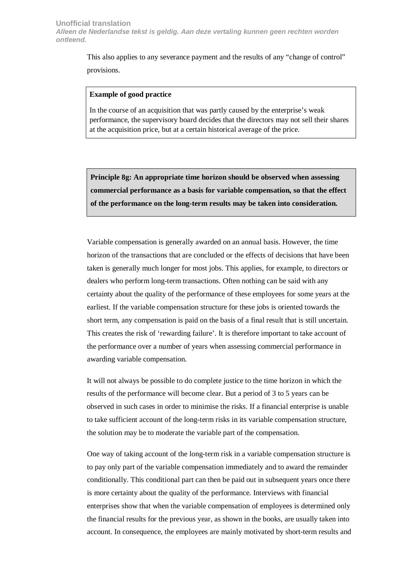This also applies to any severance payment and the results of any "change of control" provisions.

#### **Example of good practice**

In the course of an acquisition that was partly caused by the enterprise's weak performance, the supervisory board decides that the directors may not sell their shares at the acquisition price, but at a certain historical average of the price.

**Principle 8g: An appropriate time horizon should be observed when assessing commercial performance as a basis for variable compensation, so that the effect of the performance on the long-term results may be taken into consideration.** 

Variable compensation is generally awarded on an annual basis. However, the time horizon of the transactions that are concluded or the effects of decisions that have been taken is generally much longer for most jobs. This applies, for example, to directors or dealers who perform long-term transactions. Often nothing can be said with any certainty about the quality of the performance of these employees for some years at the earliest. If the variable compensation structure for these jobs is oriented towards the short term, any compensation is paid on the basis of a final result that is still uncertain. This creates the risk of 'rewarding failure'. It is therefore important to take account of the performance over a number of years when assessing commercial performance in awarding variable compensation.

It will not always be possible to do complete justice to the time horizon in which the results of the performance will become clear. But a period of 3 to 5 years can be observed in such cases in order to minimise the risks. If a financial enterprise is unable to take sufficient account of the long-term risks in its variable compensation structure, the solution may be to moderate the variable part of the compensation.

One way of taking account of the long-term risk in a variable compensation structure is to pay only part of the variable compensation immediately and to award the remainder conditionally. This conditional part can then be paid out in subsequent years once there is more certainty about the quality of the performance. Interviews with financial enterprises show that when the variable compensation of employees is determined only the financial results for the previous year, as shown in the books, are usually taken into account. In consequence, the employees are mainly motivated by short-term results and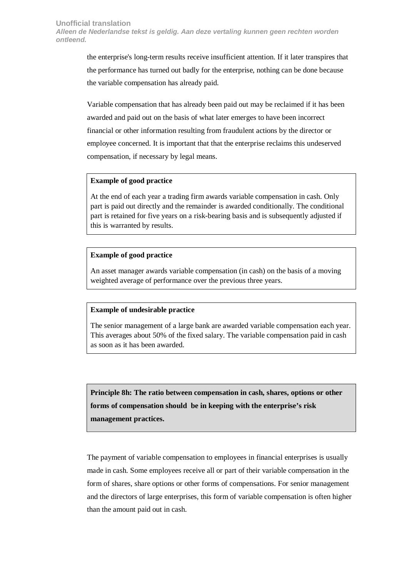the enterprise's long-term results receive insufficient attention. If it later transpires that the performance has turned out badly for the enterprise, nothing can be done because the variable compensation has already paid.

Variable compensation that has already been paid out may be reclaimed if it has been awarded and paid out on the basis of what later emerges to have been incorrect financial or other information resulting from fraudulent actions by the director or employee concerned. It is important that that the enterprise reclaims this undeserved compensation, if necessary by legal means.

#### **Example of good practice**

At the end of each year a trading firm awards variable compensation in cash. Only part is paid out directly and the remainder is awarded conditionally. The conditional part is retained for five years on a risk-bearing basis and is subsequently adjusted if this is warranted by results.

# **Example of good practice**

An asset manager awards variable compensation (in cash) on the basis of a moving weighted average of performance over the previous three years.

# **Example of undesirable practice**

The senior management of a large bank are awarded variable compensation each year. This averages about 50% of the fixed salary. The variable compensation paid in cash as soon as it has been awarded.

**Principle 8h: The ratio between compensation in cash, shares, options or other forms of compensation should be in keeping with the enterprise's risk management practices.** 

The payment of variable compensation to employees in financial enterprises is usually made in cash. Some employees receive all or part of their variable compensation in the form of shares, share options or other forms of compensations. For senior management and the directors of large enterprises, this form of variable compensation is often higher than the amount paid out in cash.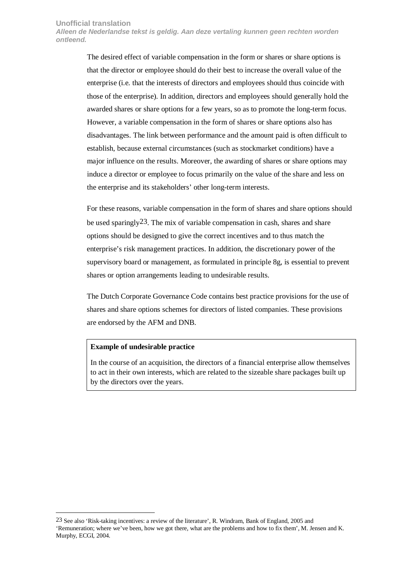**Alleen de Nederlandse tekst is geldig. Aan deze vertaling kunnen geen rechten worden ontleend.** 

> The desired effect of variable compensation in the form or shares or share options is that the director or employee should do their best to increase the overall value of the enterprise (i.e. that the interests of directors and employees should thus coincide with those of the enterprise). In addition, directors and employees should generally hold the awarded shares or share options for a few years, so as to promote the long-term focus. However, a variable compensation in the form of shares or share options also has disadvantages. The link between performance and the amount paid is often difficult to establish, because external circumstances (such as stockmarket conditions) have a major influence on the results. Moreover, the awarding of shares or share options may induce a director or employee to focus primarily on the value of the share and less on the enterprise and its stakeholders' other long-term interests.

For these reasons, variable compensation in the form of shares and share options should be used sparingly  $23$ . The mix of variable compensation in cash, shares and share options should be designed to give the correct incentives and to thus match the enterprise's risk management practices. In addition, the discretionary power of the supervisory board or management, as formulated in principle 8g, is essential to prevent shares or option arrangements leading to undesirable results.

The Dutch Corporate Governance Code contains best practice provisions for the use of shares and share options schemes for directors of listed companies. These provisions are endorsed by the AFM and DNB.

#### **Example of undesirable practice**

 $\overline{a}$ 

In the course of an acquisition, the directors of a financial enterprise allow themselves to act in their own interests, which are related to the sizeable share packages built up by the directors over the years.

<sup>23</sup> See also 'Risk-taking incentives: a review of the literature', R. Windram, Bank of England, 2005 and 'Remuneration; where we've been, how we got there, what are the problems and how to fix them', M. Jensen and K. Murphy, ECGI, 2004.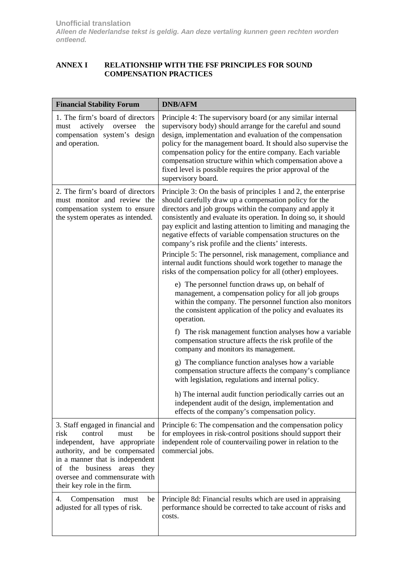# <span id="page-33-0"></span>**ANNEX I RELATIONSHIP WITH THE FSF PRINCIPLES FOR SOUND COMPENSATION PRACTICES**

| <b>Financial Stability Forum</b>                                                                                                                                                                                                                                            | <b>DNB/AFM</b>                                                                                                                                                                                                                                                                                                                                                                                                                                                                                                                                                                                                                                |
|-----------------------------------------------------------------------------------------------------------------------------------------------------------------------------------------------------------------------------------------------------------------------------|-----------------------------------------------------------------------------------------------------------------------------------------------------------------------------------------------------------------------------------------------------------------------------------------------------------------------------------------------------------------------------------------------------------------------------------------------------------------------------------------------------------------------------------------------------------------------------------------------------------------------------------------------|
| 1. The firm's board of directors<br>actively<br>the<br>must<br>oversee<br>compensation system's design<br>and operation.                                                                                                                                                    | Principle 4: The supervisory board (or any similar internal<br>supervisory body) should arrange for the careful and sound<br>design, implementation and evaluation of the compensation<br>policy for the management board. It should also supervise the<br>compensation policy for the entire company. Each variable<br>compensation structure within which compensation above a<br>fixed level is possible requires the prior approval of the<br>supervisory board.                                                                                                                                                                          |
| 2. The firm's board of directors<br>must monitor and review the<br>compensation system to ensure<br>the system operates as intended.                                                                                                                                        | Principle 3: On the basis of principles 1 and 2, the enterprise<br>should carefully draw up a compensation policy for the<br>directors and job groups within the company and apply it<br>consistently and evaluate its operation. In doing so, it should<br>pay explicit and lasting attention to limiting and managing the<br>negative effects of variable compensation structures on the<br>company's risk profile and the clients' interests.<br>Principle 5: The personnel, risk management, compliance and<br>internal audit functions should work together to manage the<br>risks of the compensation policy for all (other) employees. |
|                                                                                                                                                                                                                                                                             | e) The personnel function draws up, on behalf of<br>management, a compensation policy for all job groups<br>within the company. The personnel function also monitors<br>the consistent application of the policy and evaluates its<br>operation.                                                                                                                                                                                                                                                                                                                                                                                              |
|                                                                                                                                                                                                                                                                             | f) The risk management function analyses how a variable<br>compensation structure affects the risk profile of the<br>company and monitors its management.                                                                                                                                                                                                                                                                                                                                                                                                                                                                                     |
|                                                                                                                                                                                                                                                                             | g) The compliance function analyses how a variable<br>compensation structure affects the company's compliance<br>with legislation, regulations and internal policy.                                                                                                                                                                                                                                                                                                                                                                                                                                                                           |
|                                                                                                                                                                                                                                                                             | h) The internal audit function periodically carries out an<br>independent audit of the design, implementation and<br>effects of the company's compensation policy.                                                                                                                                                                                                                                                                                                                                                                                                                                                                            |
| 3. Staff engaged in financial and<br>risk<br>control<br>be<br>must<br>independent, have appropriate<br>authority, and be compensated<br>in a manner that is independent<br>of the business<br>areas<br>they<br>oversee and commensurate with<br>their key role in the firm. | Principle 6: The compensation and the compensation policy<br>for employees in risk-control positions should support their<br>independent role of countervailing power in relation to the<br>commercial jobs.                                                                                                                                                                                                                                                                                                                                                                                                                                  |
| 4.<br>Compensation<br>be<br>must<br>adjusted for all types of risk.                                                                                                                                                                                                         | Principle 8d: Financial results which are used in appraising<br>performance should be corrected to take account of risks and<br>costs.                                                                                                                                                                                                                                                                                                                                                                                                                                                                                                        |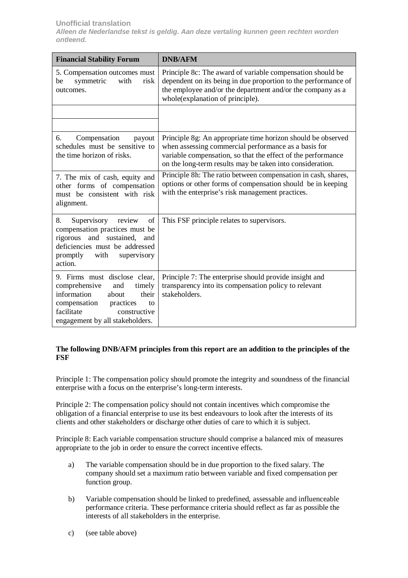| <b>Financial Stability Forum</b>                                                                                                                                                                  | <b>DNB/AFM</b>                                                                                                                                                                                                                                    |
|---------------------------------------------------------------------------------------------------------------------------------------------------------------------------------------------------|---------------------------------------------------------------------------------------------------------------------------------------------------------------------------------------------------------------------------------------------------|
| 5. Compensation outcomes must<br>symmetric<br>with<br>risk<br>be<br>outcomes.                                                                                                                     | Principle 8c: The award of variable compensation should be<br>dependent on its being in due proportion to the performance of<br>the employee and/or the department and/or the company as a<br>whole(explanation of principle).                    |
|                                                                                                                                                                                                   |                                                                                                                                                                                                                                                   |
| Compensation<br>payout<br>6.<br>schedules must be sensitive to<br>the time horizon of risks.                                                                                                      | Principle 8g: An appropriate time horizon should be observed<br>when assessing commercial performance as a basis for<br>variable compensation, so that the effect of the performance<br>on the long-term results may be taken into consideration. |
| 7. The mix of cash, equity and<br>other forms of compensation<br>must be consistent with risk<br>alignment.                                                                                       | Principle 8h: The ratio between compensation in cash, shares,<br>options or other forms of compensation should be in keeping<br>with the enterprise's risk management practices.                                                                  |
| Supervisory<br>of<br>8.<br>review<br>compensation practices must be<br>rigorous and sustained, and<br>deficiencies must be addressed<br>promptly<br>with<br>supervisory<br>action.                | This FSF principle relates to supervisors.                                                                                                                                                                                                        |
| 9. Firms must disclose clear,<br>comprehensive<br>and<br>timely<br>information<br>about<br>their<br>compensation practices<br>to<br>facilitate<br>constructive<br>engagement by all stakeholders. | Principle 7: The enterprise should provide insight and<br>transparency into its compensation policy to relevant<br>stakeholders.                                                                                                                  |

# **The following DNB/AFM principles from this report are an addition to the principles of the FSF**

Principle 1: The compensation policy should promote the integrity and soundness of the financial enterprise with a focus on the enterprise's long-term interests.

Principle 2: The compensation policy should not contain incentives which compromise the obligation of a financial enterprise to use its best endeavours to look after the interests of its clients and other stakeholders or discharge other duties of care to which it is subject.

Principle 8: Each variable compensation structure should comprise a balanced mix of measures appropriate to the job in order to ensure the correct incentive effects.

- a) The variable compensation should be in due proportion to the fixed salary. The company should set a maximum ratio between variable and fixed compensation per function group.
- b) Variable compensation should be linked to predefined, assessable and influenceable performance criteria. These performance criteria should reflect as far as possible the interests of all stakeholders in the enterprise.
- c) (see table above)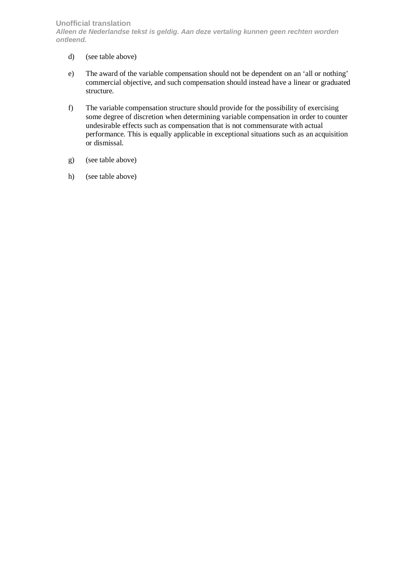- d) (see table above)
- e) The award of the variable compensation should not be dependent on an 'all or nothing' commercial objective, and such compensation should instead have a linear or graduated structure.
- f) The variable compensation structure should provide for the possibility of exercising some degree of discretion when determining variable compensation in order to counter undesirable effects such as compensation that is not commensurate with actual performance. This is equally applicable in exceptional situations such as an acquisition or dismissal.
- g) (see table above)
- h) (see table above)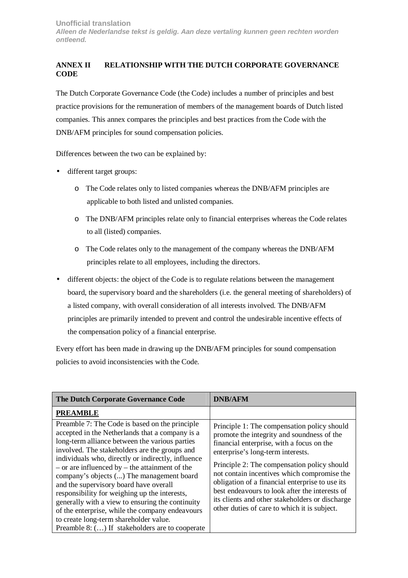# <span id="page-36-0"></span>**ANNEX II RELATIONSHIP WITH THE DUTCH CORPORATE GOVERNANCE CODE**

The Dutch Corporate Governance Code (the Code) includes a number of principles and best practice provisions for the remuneration of members of the management boards of Dutch listed companies. This annex compares the principles and best practices from the Code with the DNB/AFM principles for sound compensation policies.

Differences between the two can be explained by:

- different target groups:
	- o The Code relates only to listed companies whereas the DNB/AFM principles are applicable to both listed and unlisted companies.
	- o The DNB/AFM principles relate only to financial enterprises whereas the Code relates to all (listed) companies.
	- o The Code relates only to the management of the company whereas the DNB/AFM principles relate to all employees, including the directors.
- different objects: the object of the Code is to regulate relations between the management board, the supervisory board and the shareholders (i.e. the general meeting of shareholders) of a listed company, with overall consideration of all interests involved. The DNB/AFM principles are primarily intended to prevent and control the undesirable incentive effects of the compensation policy of a financial enterprise.

Every effort has been made in drawing up the DNB/AFM principles for sound compensation policies to avoid inconsistencies with the Code.

| The Dutch Corporate Governance Code                                                                                                                                                                                                                                                                                                                                                                                                                                                                                                                                                                                                                          | <b>DNB/AFM</b>                                                                                                                                                                                                                                                                                                                                                                                                                                                                    |
|--------------------------------------------------------------------------------------------------------------------------------------------------------------------------------------------------------------------------------------------------------------------------------------------------------------------------------------------------------------------------------------------------------------------------------------------------------------------------------------------------------------------------------------------------------------------------------------------------------------------------------------------------------------|-----------------------------------------------------------------------------------------------------------------------------------------------------------------------------------------------------------------------------------------------------------------------------------------------------------------------------------------------------------------------------------------------------------------------------------------------------------------------------------|
| <b>PREAMBLE</b>                                                                                                                                                                                                                                                                                                                                                                                                                                                                                                                                                                                                                                              |                                                                                                                                                                                                                                                                                                                                                                                                                                                                                   |
| Preamble 7: The Code is based on the principle<br>accepted in the Netherlands that a company is a<br>long-term alliance between the various parties<br>involved. The stakeholders are the groups and<br>individuals who, directly or indirectly, influence<br>$-$ or are influenced by $-$ the attainment of the<br>company's objects () The management board<br>and the supervisory board have overall<br>responsibility for weighing up the interests,<br>generally with a view to ensuring the continuity<br>of the enterprise, while the company endeavours<br>to create long-term shareholder value.<br>Preamble 8: () If stakeholders are to cooperate | Principle 1: The compensation policy should<br>promote the integrity and soundness of the<br>financial enterprise, with a focus on the<br>enterprise's long-term interests.<br>Principle 2: The compensation policy should<br>not contain incentives which compromise the<br>obligation of a financial enterprise to use its<br>best endeavours to look after the interests of<br>its clients and other stakeholders or discharge<br>other duties of care to which it is subject. |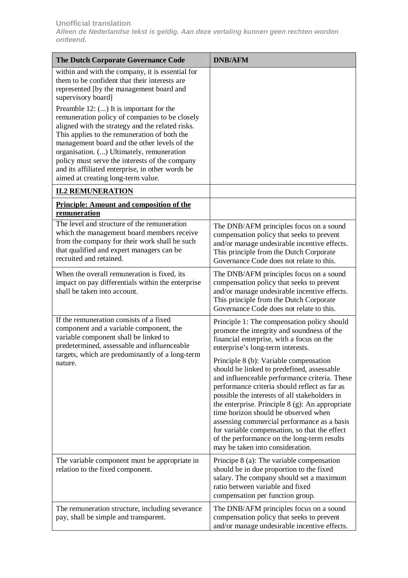| The Dutch Corporate Governance Code                                                                                                                                                                                                                                                                                                                                                                                                    | <b>DNB/AFM</b>                                                                                                                                                                                                                                                                                                                                                                                                                                                                                                                                                                                                                                                                                         |
|----------------------------------------------------------------------------------------------------------------------------------------------------------------------------------------------------------------------------------------------------------------------------------------------------------------------------------------------------------------------------------------------------------------------------------------|--------------------------------------------------------------------------------------------------------------------------------------------------------------------------------------------------------------------------------------------------------------------------------------------------------------------------------------------------------------------------------------------------------------------------------------------------------------------------------------------------------------------------------------------------------------------------------------------------------------------------------------------------------------------------------------------------------|
| within and with the company, it is essential for<br>them to be confident that their interests are<br>represented [by the management board and<br>supervisory board]                                                                                                                                                                                                                                                                    |                                                                                                                                                                                                                                                                                                                                                                                                                                                                                                                                                                                                                                                                                                        |
| Preamble 12: () It is important for the<br>remuneration policy of companies to be closely<br>aligned with the strategy and the related risks.<br>This applies to the remuneration of both the<br>management board and the other levels of the<br>organisation. () Ultimately, remuneration<br>policy must serve the interests of the company<br>and its affiliated enterprise, in other words be<br>aimed at creating long-term value. |                                                                                                                                                                                                                                                                                                                                                                                                                                                                                                                                                                                                                                                                                                        |
| <b>II.2 REMUNERATION</b>                                                                                                                                                                                                                                                                                                                                                                                                               |                                                                                                                                                                                                                                                                                                                                                                                                                                                                                                                                                                                                                                                                                                        |
| <b>Principle: Amount and composition of the</b><br>remuneration                                                                                                                                                                                                                                                                                                                                                                        |                                                                                                                                                                                                                                                                                                                                                                                                                                                                                                                                                                                                                                                                                                        |
| The level and structure of the remuneration<br>which the management board members receive<br>from the company for their work shall be such<br>that qualified and expert managers can be<br>recruited and retained.                                                                                                                                                                                                                     | The DNB/AFM principles focus on a sound<br>compensation policy that seeks to prevent<br>and/or manage undesirable incentive effects.<br>This principle from the Dutch Corporate<br>Governance Code does not relate to this.                                                                                                                                                                                                                                                                                                                                                                                                                                                                            |
| When the overall remuneration is fixed, its<br>impact on pay differentials within the enterprise<br>shall be taken into account.                                                                                                                                                                                                                                                                                                       | The DNB/AFM principles focus on a sound<br>compensation policy that seeks to prevent<br>and/or manage undesirable incentive effects.<br>This principle from the Dutch Corporate<br>Governance Code does not relate to this.                                                                                                                                                                                                                                                                                                                                                                                                                                                                            |
| If the remuneration consists of a fixed<br>component and a variable component, the<br>variable component shall be linked to<br>predetermined, assessable and influenceable<br>targets, which are predominantly of a long-term<br>nature.                                                                                                                                                                                               | Principle 1: The compensation policy should<br>promote the integrity and soundness of the<br>financial enterprise, with a focus on the<br>enterprise's long-term interests.<br>Principle 8 (b): Variable compensation<br>should be linked to predefined, assessable<br>and influenceable performance criteria. These<br>performance criteria should reflect as far as<br>possible the interests of all stakeholders in<br>the enterprise. Principle $8$ (g): An appropriate<br>time horizon should be observed when<br>assessing commercial performance as a basis<br>for variable compensation, so that the effect<br>of the performance on the long-term results<br>may be taken into consideration. |
| The variable component must be appropriate in<br>relation to the fixed component.                                                                                                                                                                                                                                                                                                                                                      | Principe 8 (a): The variable compensation<br>should be in due proportion to the fixed<br>salary. The company should set a maximum<br>ratio between variable and fixed<br>compensation per function group.                                                                                                                                                                                                                                                                                                                                                                                                                                                                                              |
| The remuneration structure, including severance<br>pay, shall be simple and transparent.                                                                                                                                                                                                                                                                                                                                               | The DNB/AFM principles focus on a sound<br>compensation policy that seeks to prevent<br>and/or manage undesirable incentive effects.                                                                                                                                                                                                                                                                                                                                                                                                                                                                                                                                                                   |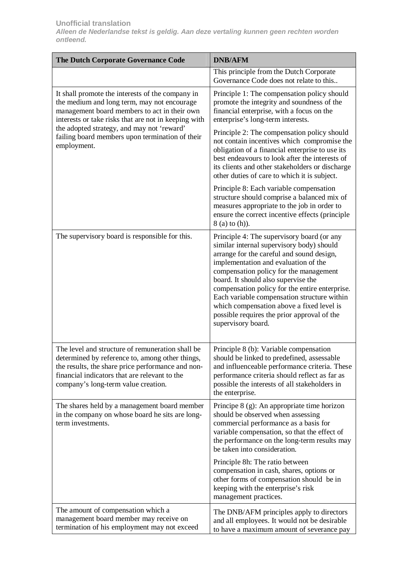| The Dutch Corporate Governance Code                                                                                                                                                                                                              | <b>DNB/AFM</b>                                                                                                                                                                                                                                                                                                                                                                                                                                                                   |
|--------------------------------------------------------------------------------------------------------------------------------------------------------------------------------------------------------------------------------------------------|----------------------------------------------------------------------------------------------------------------------------------------------------------------------------------------------------------------------------------------------------------------------------------------------------------------------------------------------------------------------------------------------------------------------------------------------------------------------------------|
|                                                                                                                                                                                                                                                  | This principle from the Dutch Corporate<br>Governance Code does not relate to this                                                                                                                                                                                                                                                                                                                                                                                               |
| It shall promote the interests of the company in<br>the medium and long term, may not encourage<br>management board members to act in their own<br>interests or take risks that are not in keeping with                                          | Principle 1: The compensation policy should<br>promote the integrity and soundness of the<br>financial enterprise, with a focus on the<br>enterprise's long-term interests.                                                                                                                                                                                                                                                                                                      |
| the adopted strategy, and may not 'reward'<br>failing board members upon termination of their<br>employment.                                                                                                                                     | Principle 2: The compensation policy should<br>not contain incentives which compromise the<br>obligation of a financial enterprise to use its<br>best endeavours to look after the interests of<br>its clients and other stakeholders or discharge<br>other duties of care to which it is subject.                                                                                                                                                                               |
|                                                                                                                                                                                                                                                  | Principle 8: Each variable compensation<br>structure should comprise a balanced mix of<br>measures appropriate to the job in order to<br>ensure the correct incentive effects (principle<br>8 (a) to (h)).                                                                                                                                                                                                                                                                       |
| The supervisory board is responsible for this.                                                                                                                                                                                                   | Principle 4: The supervisory board (or any<br>similar internal supervisory body) should<br>arrange for the careful and sound design,<br>implementation and evaluation of the<br>compensation policy for the management<br>board. It should also supervise the<br>compensation policy for the entire enterprise.<br>Each variable compensation structure within<br>which compensation above a fixed level is<br>possible requires the prior approval of the<br>supervisory board. |
| The level and structure of remuneration shall be<br>determined by reference to, among other things,<br>the results, the share price performance and non-<br>financial indicators that are relevant to the<br>company's long-term value creation. | Principle 8 (b): Variable compensation<br>should be linked to predefined, assessable<br>and influenceable performance criteria. These<br>performance criteria should reflect as far as<br>possible the interests of all stakeholders in<br>the enterprise.                                                                                                                                                                                                                       |
| The shares held by a management board member<br>in the company on whose board he sits are long-<br>term investments.                                                                                                                             | Principe 8 (g): An appropriate time horizon<br>should be observed when assessing<br>commercial performance as a basis for<br>variable compensation, so that the effect of<br>the performance on the long-term results may<br>be taken into consideration.                                                                                                                                                                                                                        |
|                                                                                                                                                                                                                                                  | Principle 8h: The ratio between<br>compensation in cash, shares, options or<br>other forms of compensation should be in<br>keeping with the enterprise's risk<br>management practices.                                                                                                                                                                                                                                                                                           |
| The amount of compensation which a<br>management board member may receive on<br>termination of his employment may not exceed                                                                                                                     | The DNB/AFM principles apply to directors<br>and all employees. It would not be desirable<br>to have a maximum amount of severance pay                                                                                                                                                                                                                                                                                                                                           |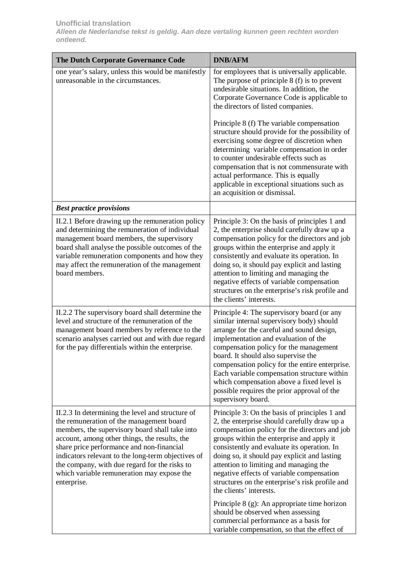| The Dutch Corporate Governance Code                                                                                                                                                                                                                                                                                                                                                                              | <b>DNB/AFM</b>                                                                                                                                                                                                                                                                                                                                                                                                                                                                   |
|------------------------------------------------------------------------------------------------------------------------------------------------------------------------------------------------------------------------------------------------------------------------------------------------------------------------------------------------------------------------------------------------------------------|----------------------------------------------------------------------------------------------------------------------------------------------------------------------------------------------------------------------------------------------------------------------------------------------------------------------------------------------------------------------------------------------------------------------------------------------------------------------------------|
| one year's salary, unless this would be manifestly<br>unreasonable in the circumstances.                                                                                                                                                                                                                                                                                                                         | for employees that is universally applicable.<br>The purpose of principle $8(f)$ is to prevent<br>undesirable situations. In addition, the<br>Corporate Governance Code is applicable to<br>the directors of listed companies.                                                                                                                                                                                                                                                   |
|                                                                                                                                                                                                                                                                                                                                                                                                                  | Principle 8 (f) The variable compensation<br>structure should provide for the possibility of<br>exercising some degree of discretion when<br>determining variable compensation in order<br>to counter undesirable effects such as<br>compensation that is not commensurate with<br>actual performance. This is equally<br>applicable in exceptional situations such as<br>an acquisition or dismissal.                                                                           |
| <b>Best practice provisions</b>                                                                                                                                                                                                                                                                                                                                                                                  |                                                                                                                                                                                                                                                                                                                                                                                                                                                                                  |
| II.2.1 Before drawing up the remuneration policy<br>and determining the remuneration of individual<br>management board members, the supervisory<br>board shall analyse the possible outcomes of the<br>variable remuneration components and how they<br>may affect the remuneration of the management<br>board members.                                                                                          | Principle 3: On the basis of principles 1 and<br>2, the enterprise should carefully draw up a<br>compensation policy for the directors and job<br>groups within the enterprise and apply it<br>consistently and evaluate its operation. In<br>doing so, it should pay explicit and lasting<br>attention to limiting and managing the<br>negative effects of variable compensation<br>structures on the enterprise's risk profile and<br>the clients' interests.                  |
| II.2.2 The supervisory board shall determine the<br>level and structure of the remuneration of the<br>management board members by reference to the<br>scenario analyses carried out and with due regard<br>for the pay differentials within the enterprise.                                                                                                                                                      | Principle 4: The supervisory board (or any<br>similar internal supervisory body) should<br>arrange for the careful and sound design,<br>implementation and evaluation of the<br>compensation policy for the management<br>board. It should also supervise the<br>compensation policy for the entire enterprise.<br>Each variable compensation structure within<br>which compensation above a fixed level is<br>possible requires the prior approval of the<br>supervisory board. |
| II.2.3 In determining the level and structure of<br>the remuneration of the management board<br>members, the supervisory board shall take into<br>account, among other things, the results, the<br>share price performance and non-financial<br>indicators relevant to the long-term objectives of<br>the company, with due regard for the risks to<br>which variable remuneration may expose the<br>enterprise. | Principle 3: On the basis of principles 1 and<br>2, the enterprise should carefully draw up a<br>compensation policy for the directors and job<br>groups within the enterprise and apply it<br>consistently and evaluate its operation. In<br>doing so, it should pay explicit and lasting<br>attention to limiting and managing the<br>negative effects of variable compensation<br>structures on the enterprise's risk profile and<br>the clients' interests.                  |
|                                                                                                                                                                                                                                                                                                                                                                                                                  | Principle 8 (g): An appropriate time horizon<br>should be observed when assessing<br>commercial performance as a basis for<br>variable compensation, so that the effect of                                                                                                                                                                                                                                                                                                       |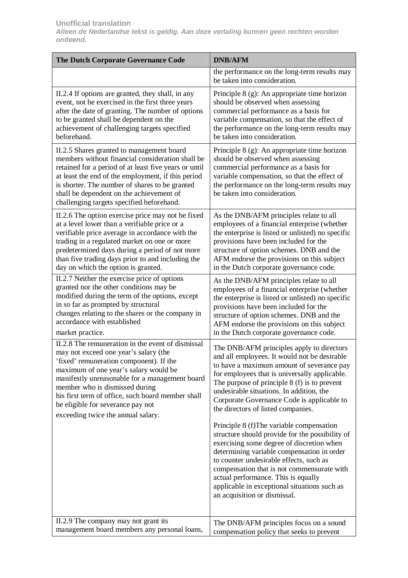| The Dutch Corporate Governance Code                                                                                                                                                                                                                                                                                                                     | <b>DNB/AFM</b>                                                                                                                                                                                                                                                                                                                                             |
|---------------------------------------------------------------------------------------------------------------------------------------------------------------------------------------------------------------------------------------------------------------------------------------------------------------------------------------------------------|------------------------------------------------------------------------------------------------------------------------------------------------------------------------------------------------------------------------------------------------------------------------------------------------------------------------------------------------------------|
|                                                                                                                                                                                                                                                                                                                                                         | the performance on the long-term results may<br>be taken into consideration.                                                                                                                                                                                                                                                                               |
| II.2.4 If options are granted, they shall, in any                                                                                                                                                                                                                                                                                                       | Principle 8 (g): An appropriate time horizon                                                                                                                                                                                                                                                                                                               |
| event, not be exercised in the first three years                                                                                                                                                                                                                                                                                                        | should be observed when assessing                                                                                                                                                                                                                                                                                                                          |
| after the date of granting. The number of options                                                                                                                                                                                                                                                                                                       | commercial performance as a basis for                                                                                                                                                                                                                                                                                                                      |
| to be granted shall be dependent on the                                                                                                                                                                                                                                                                                                                 | variable compensation, so that the effect of                                                                                                                                                                                                                                                                                                               |
| achievement of challenging targets specified                                                                                                                                                                                                                                                                                                            | the performance on the long-term results may                                                                                                                                                                                                                                                                                                               |
| beforehand.                                                                                                                                                                                                                                                                                                                                             | be taken into consideration.                                                                                                                                                                                                                                                                                                                               |
| II.2.5 Shares granted to management board<br>members without financial consideration shall be<br>retained for a period of at least five years or until<br>at least the end of the employment, if this period<br>is shorter. The number of shares to be granted<br>shall be dependent on the achievement of<br>challenging targets specified beforehand. | Principle 8 (g): An appropriate time horizon<br>should be observed when assessing<br>commercial performance as a basis for<br>variable compensation, so that the effect of<br>the performance on the long-term results may<br>be taken into consideration.                                                                                                 |
| II.2.6 The option exercise price may not be fixed                                                                                                                                                                                                                                                                                                       | As the DNB/AFM principles relate to all                                                                                                                                                                                                                                                                                                                    |
| at a level lower than a verifiable price or a                                                                                                                                                                                                                                                                                                           | employees of a financial enterprise (whether                                                                                                                                                                                                                                                                                                               |
| verifiable price average in accordance with the                                                                                                                                                                                                                                                                                                         | the enterprise is listed or unlisted) no specific                                                                                                                                                                                                                                                                                                          |
| trading in a regulated market on one or more                                                                                                                                                                                                                                                                                                            | provisions have been included for the                                                                                                                                                                                                                                                                                                                      |
| predetermined days during a period of not more                                                                                                                                                                                                                                                                                                          | structure of option schemes. DNB and the                                                                                                                                                                                                                                                                                                                   |
| than five trading days prior to and including the                                                                                                                                                                                                                                                                                                       | AFM endorse the provisions on this subject                                                                                                                                                                                                                                                                                                                 |
| day on which the option is granted.                                                                                                                                                                                                                                                                                                                     | in the Dutch corporate governance code.                                                                                                                                                                                                                                                                                                                    |
| II.2.7 Neither the exercise price of options                                                                                                                                                                                                                                                                                                            | As the DNB/AFM principles relate to all                                                                                                                                                                                                                                                                                                                    |
| granted nor the other conditions may be                                                                                                                                                                                                                                                                                                                 | employees of a financial enterprise (whether                                                                                                                                                                                                                                                                                                               |
| modified during the term of the options, except                                                                                                                                                                                                                                                                                                         | the enterprise is listed or unlisted) no specific                                                                                                                                                                                                                                                                                                          |
| in so far as prompted by structural                                                                                                                                                                                                                                                                                                                     | provisions have been included for the                                                                                                                                                                                                                                                                                                                      |
| changes relating to the shares or the company in                                                                                                                                                                                                                                                                                                        | structure of option schemes. DNB and the                                                                                                                                                                                                                                                                                                                   |
| accordance with established                                                                                                                                                                                                                                                                                                                             | AFM endorse the provisions on this subject                                                                                                                                                                                                                                                                                                                 |
| market practice.                                                                                                                                                                                                                                                                                                                                        | in the Dutch corporate governance code.                                                                                                                                                                                                                                                                                                                    |
| II.2.8 The remuneration in the event of dismissal                                                                                                                                                                                                                                                                                                       | The DNB/AFM principles apply to directors                                                                                                                                                                                                                                                                                                                  |
| may not exceed one year's salary (the                                                                                                                                                                                                                                                                                                                   | and all employees. It would not be desirable                                                                                                                                                                                                                                                                                                               |
| 'fixed' remuneration component). If the                                                                                                                                                                                                                                                                                                                 | to have a maximum amount of severance pay                                                                                                                                                                                                                                                                                                                  |
| maximum of one year's salary would be                                                                                                                                                                                                                                                                                                                   | for employees that is universally applicable.                                                                                                                                                                                                                                                                                                              |
| manifestly unreasonable for a management board                                                                                                                                                                                                                                                                                                          | The purpose of principle $8(f)$ is to prevent                                                                                                                                                                                                                                                                                                              |
| member who is dismissed during                                                                                                                                                                                                                                                                                                                          | undesirable situations. In addition, the                                                                                                                                                                                                                                                                                                                   |
| his first term of office, such board member shall                                                                                                                                                                                                                                                                                                       | Corporate Governance Code is applicable to                                                                                                                                                                                                                                                                                                                 |
| be eligible for severance pay not                                                                                                                                                                                                                                                                                                                       | the directors of listed companies.                                                                                                                                                                                                                                                                                                                         |
| exceeding twice the annual salary.                                                                                                                                                                                                                                                                                                                      | Principle 8 (f)The variable compensation                                                                                                                                                                                                                                                                                                                   |
|                                                                                                                                                                                                                                                                                                                                                         | structure should provide for the possibility of<br>exercising some degree of discretion when<br>determining variable compensation in order<br>to counter undesirable effects, such as<br>compensation that is not commensurate with<br>actual performance. This is equally<br>applicable in exceptional situations such as<br>an acquisition or dismissal. |
| II.2.9 The company may not grant its                                                                                                                                                                                                                                                                                                                    | The DNB/AFM principles focus on a sound                                                                                                                                                                                                                                                                                                                    |
| management board members any personal loans,                                                                                                                                                                                                                                                                                                            | compensation policy that seeks to prevent                                                                                                                                                                                                                                                                                                                  |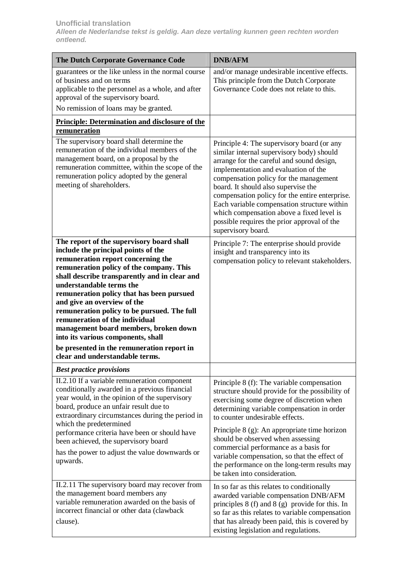| The Dutch Corporate Governance Code                                                                                                                                                                                                                                                                                                                                                                                                                                                                                                                                          | <b>DNB/AFM</b>                                                                                                                                                                                                                                                                                                                                                                                                                                                                   |
|------------------------------------------------------------------------------------------------------------------------------------------------------------------------------------------------------------------------------------------------------------------------------------------------------------------------------------------------------------------------------------------------------------------------------------------------------------------------------------------------------------------------------------------------------------------------------|----------------------------------------------------------------------------------------------------------------------------------------------------------------------------------------------------------------------------------------------------------------------------------------------------------------------------------------------------------------------------------------------------------------------------------------------------------------------------------|
| guarantees or the like unless in the normal course<br>of business and on terms<br>applicable to the personnel as a whole, and after<br>approval of the supervisory board.<br>No remission of loans may be granted.                                                                                                                                                                                                                                                                                                                                                           | and/or manage undesirable incentive effects.<br>This principle from the Dutch Corporate<br>Governance Code does not relate to this.                                                                                                                                                                                                                                                                                                                                              |
| <b>Principle: Determination and disclosure of the</b><br>remuneration                                                                                                                                                                                                                                                                                                                                                                                                                                                                                                        |                                                                                                                                                                                                                                                                                                                                                                                                                                                                                  |
| The supervisory board shall determine the<br>remuneration of the individual members of the<br>management board, on a proposal by the<br>remuneration committee, within the scope of the<br>remuneration policy adopted by the general<br>meeting of shareholders.                                                                                                                                                                                                                                                                                                            | Principle 4: The supervisory board (or any<br>similar internal supervisory body) should<br>arrange for the careful and sound design,<br>implementation and evaluation of the<br>compensation policy for the management<br>board. It should also supervise the<br>compensation policy for the entire enterprise.<br>Each variable compensation structure within<br>which compensation above a fixed level is<br>possible requires the prior approval of the<br>supervisory board. |
| The report of the supervisory board shall<br>include the principal points of the<br>remuneration report concerning the<br>remuneration policy of the company. This<br>shall describe transparently and in clear and<br>understandable terms the<br>remuneration policy that has been pursued<br>and give an overview of the<br>remuneration policy to be pursued. The full<br>remuneration of the individual<br>management board members, broken down<br>into its various components, shall<br>be presented in the remuneration report in<br>clear and understandable terms. | Principle 7: The enterprise should provide<br>insight and transparency into its<br>compensation policy to relevant stakeholders.                                                                                                                                                                                                                                                                                                                                                 |
| <b>Best practice provisions</b>                                                                                                                                                                                                                                                                                                                                                                                                                                                                                                                                              |                                                                                                                                                                                                                                                                                                                                                                                                                                                                                  |
| II.2.10 If a variable remuneration component<br>conditionally awarded in a previous financial<br>year would, in the opinion of the supervisory<br>board, produce an unfair result due to<br>extraordinary circumstances during the period in                                                                                                                                                                                                                                                                                                                                 | Principle 8 (f): The variable compensation<br>structure should provide for the possibility of<br>exercising some degree of discretion when<br>determining variable compensation in order<br>to counter undesirable effects.                                                                                                                                                                                                                                                      |
| which the predetermined<br>performance criteria have been or should have<br>been achieved, the supervisory board<br>has the power to adjust the value downwards or<br>upwards.                                                                                                                                                                                                                                                                                                                                                                                               | Principle 8 (g): An appropriate time horizon<br>should be observed when assessing<br>commercial performance as a basis for<br>variable compensation, so that the effect of<br>the performance on the long-term results may<br>be taken into consideration.                                                                                                                                                                                                                       |
| II.2.11 The supervisory board may recover from<br>the management board members any<br>variable remuneration awarded on the basis of<br>incorrect financial or other data (clawback<br>clause).                                                                                                                                                                                                                                                                                                                                                                               | In so far as this relates to conditionally<br>awarded variable compensation DNB/AFM<br>principles $8(f)$ and $8(g)$ provide for this. In<br>so far as this relates to variable compensation<br>that has already been paid, this is covered by<br>existing legislation and regulations.                                                                                                                                                                                           |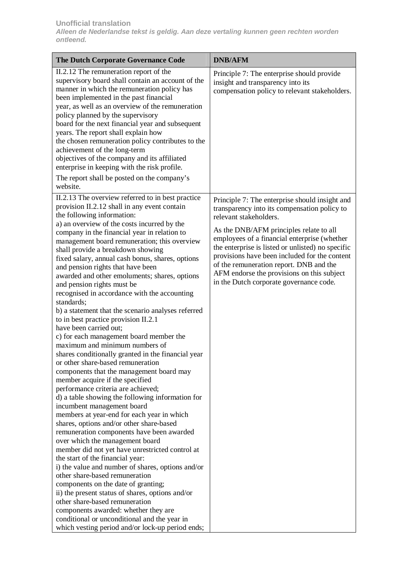| The Dutch Corporate Governance Code                                                                                                                                                                                                                                                                                                                                                                                                                                                                                                                                                                                                                                                                                                                                                                                                                                                                                                                                                                                                                                                                                                                                                                                                                                                                                                                                                                                                                                                                                                                                                                                                                                                               | <b>DNB/AFM</b>                                                                                                                                                                                                                                                                                                                                                                                                                                                |
|---------------------------------------------------------------------------------------------------------------------------------------------------------------------------------------------------------------------------------------------------------------------------------------------------------------------------------------------------------------------------------------------------------------------------------------------------------------------------------------------------------------------------------------------------------------------------------------------------------------------------------------------------------------------------------------------------------------------------------------------------------------------------------------------------------------------------------------------------------------------------------------------------------------------------------------------------------------------------------------------------------------------------------------------------------------------------------------------------------------------------------------------------------------------------------------------------------------------------------------------------------------------------------------------------------------------------------------------------------------------------------------------------------------------------------------------------------------------------------------------------------------------------------------------------------------------------------------------------------------------------------------------------------------------------------------------------|---------------------------------------------------------------------------------------------------------------------------------------------------------------------------------------------------------------------------------------------------------------------------------------------------------------------------------------------------------------------------------------------------------------------------------------------------------------|
| II.2.12 The remuneration report of the<br>supervisory board shall contain an account of the<br>manner in which the remuneration policy has<br>been implemented in the past financial<br>year, as well as an overview of the remuneration<br>policy planned by the supervisory<br>board for the next financial year and subsequent<br>years. The report shall explain how<br>the chosen remuneration policy contributes to the<br>achievement of the long-term<br>objectives of the company and its affiliated<br>enterprise in keeping with the risk profile.<br>The report shall be posted on the company's<br>website.                                                                                                                                                                                                                                                                                                                                                                                                                                                                                                                                                                                                                                                                                                                                                                                                                                                                                                                                                                                                                                                                          | Principle 7: The enterprise should provide<br>insight and transparency into its<br>compensation policy to relevant stakeholders.                                                                                                                                                                                                                                                                                                                              |
| II.2.13 The overview referred to in best practice<br>provision II.2.12 shall in any event contain<br>the following information:<br>a) an overview of the costs incurred by the<br>company in the financial year in relation to<br>management board remuneration; this overview<br>shall provide a breakdown showing<br>fixed salary, annual cash bonus, shares, options<br>and pension rights that have been<br>awarded and other emoluments; shares, options<br>and pension rights must be<br>recognised in accordance with the accounting<br>standards;<br>b) a statement that the scenario analyses referred<br>to in best practice provision II.2.1<br>have been carried out;<br>c) for each management board member the<br>maximum and minimum numbers of<br>shares conditionally granted in the financial year<br>or other share-based remuneration<br>components that the management board may<br>member acquire if the specified<br>performance criteria are achieved;<br>d) a table showing the following information for<br>incumbent management board<br>members at year-end for each year in which<br>shares, options and/or other share-based<br>remuneration components have been awarded<br>over which the management board<br>member did not yet have unrestricted control at<br>the start of the financial year:<br>i) the value and number of shares, options and/or<br>other share-based remuneration<br>components on the date of granting;<br>ii) the present status of shares, options and/or<br>other share-based remuneration<br>components awarded: whether they are<br>conditional or unconditional and the year in<br>which vesting period and/or lock-up period ends; | Principle 7: The enterprise should insight and<br>transparency into its compensation policy to<br>relevant stakeholders.<br>As the DNB/AFM principles relate to all<br>employees of a financial enterprise (whether<br>the enterprise is listed or unlisted) no specific<br>provisions have been included for the content<br>of the remuneration report. DNB and the<br>AFM endorse the provisions on this subject<br>in the Dutch corporate governance code. |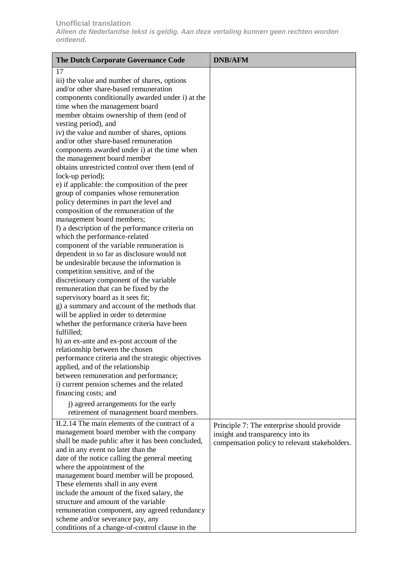| The Dutch Corporate Governance Code                                              | <b>DNB/AFM</b>                                |
|----------------------------------------------------------------------------------|-----------------------------------------------|
| 17                                                                               |                                               |
| iii) the value and number of shares, options                                     |                                               |
| and/or other share-based remuneration                                            |                                               |
| components conditionally awarded under i) at the                                 |                                               |
| time when the management board                                                   |                                               |
| member obtains ownership of them (end of                                         |                                               |
| vesting period), and                                                             |                                               |
| iv) the value and number of shares, options                                      |                                               |
| and/or other share-based remuneration                                            |                                               |
| components awarded under i) at the time when                                     |                                               |
| the management board member                                                      |                                               |
| obtains unrestricted control over them (end of                                   |                                               |
| lock-up period);                                                                 |                                               |
| e) if applicable: the composition of the peer                                    |                                               |
| group of companies whose remuneration                                            |                                               |
| policy determines in part the level and                                          |                                               |
| composition of the remuneration of the                                           |                                               |
| management board members;                                                        |                                               |
| f) a description of the performance criteria on                                  |                                               |
| which the performance-related                                                    |                                               |
| component of the variable remuneration is                                        |                                               |
| dependent in so far as disclosure would not                                      |                                               |
| be undesirable because the information is                                        |                                               |
| competition sensitive, and of the                                                |                                               |
| discretionary component of the variable<br>remuneration that can be fixed by the |                                               |
| supervisory board as it sees fit;                                                |                                               |
| g) a summary and account of the methods that                                     |                                               |
| will be applied in order to determine                                            |                                               |
| whether the performance criteria have been                                       |                                               |
| fulfilled;                                                                       |                                               |
| h) an ex-ante and ex-post account of the                                         |                                               |
| relationship between the chosen                                                  |                                               |
| performance criteria and the strategic objectives                                |                                               |
| applied, and of the relationship                                                 |                                               |
| between remuneration and performance;                                            |                                               |
| i) current pension schemes and the related                                       |                                               |
| financing costs; and                                                             |                                               |
| j) agreed arrangements for the early                                             |                                               |
| retirement of management board members.                                          |                                               |
| II.2.14 The main elements of the contract of a                                   |                                               |
| management board member with the company                                         | Principle 7: The enterprise should provide    |
| shall be made public after it has been concluded,                                | insight and transparency into its             |
| and in any event no later than the                                               | compensation policy to relevant stakeholders. |
| date of the notice calling the general meeting                                   |                                               |
| where the appointment of the                                                     |                                               |
| management board member will be proposed.                                        |                                               |
| These elements shall in any event                                                |                                               |
| include the amount of the fixed salary, the                                      |                                               |
| structure and amount of the variable                                             |                                               |
| remuneration component, any agreed redundancy                                    |                                               |
| scheme and/or severance pay, any                                                 |                                               |
| conditions of a change-of-control clause in the                                  |                                               |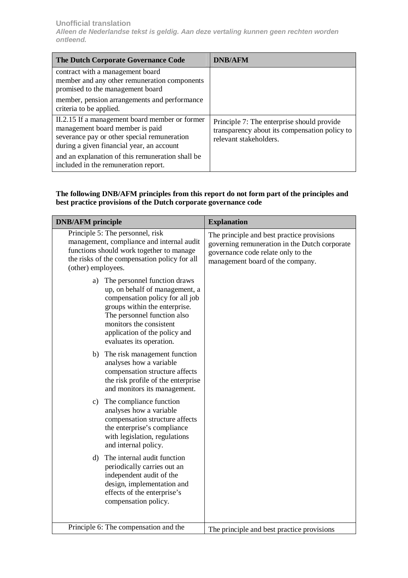| <b>The Dutch Corporate Governance Code</b>                                                                                                                                    | <b>DNB/AFM</b>                                                                                                        |
|-------------------------------------------------------------------------------------------------------------------------------------------------------------------------------|-----------------------------------------------------------------------------------------------------------------------|
| contract with a management board<br>member and any other remuneration components<br>promised to the management board                                                          |                                                                                                                       |
| member, pension arrangements and performance<br>criteria to be applied.                                                                                                       |                                                                                                                       |
| II.2.15 If a management board member or former<br>management board member is paid<br>severance pay or other special remuneration<br>during a given financial year, an account | Principle 7: The enterprise should provide<br>transparency about its compensation policy to<br>relevant stakeholders. |
| and an explanation of this remuneration shall be<br>included in the remuneration report.                                                                                      |                                                                                                                       |

# **The following DNB/AFM principles from this report do not form part of the principles and best practice provisions of the Dutch corporate governance code**

| <b>DNB/AFM</b> principle                                                                                                                                                                                                                                        | <b>Explanation</b>                                                                                                                                                    |
|-----------------------------------------------------------------------------------------------------------------------------------------------------------------------------------------------------------------------------------------------------------------|-----------------------------------------------------------------------------------------------------------------------------------------------------------------------|
| Principle 5: The personnel, risk<br>management, compliance and internal audit<br>functions should work together to manage<br>the risks of the compensation policy for all<br>(other) employees.                                                                 | The principle and best practice provisions<br>governing remuneration in the Dutch corporate<br>governance code relate only to the<br>management board of the company. |
| The personnel function draws<br>a)<br>up, on behalf of management, a<br>compensation policy for all job<br>groups within the enterprise.<br>The personnel function also<br>monitors the consistent<br>application of the policy and<br>evaluates its operation. |                                                                                                                                                                       |
| b) The risk management function<br>analyses how a variable<br>compensation structure affects<br>the risk profile of the enterprise<br>and monitors its management.                                                                                              |                                                                                                                                                                       |
| c) The compliance function<br>analyses how a variable<br>compensation structure affects<br>the enterprise's compliance<br>with legislation, regulations<br>and internal policy.                                                                                 |                                                                                                                                                                       |
| d) The internal audit function<br>periodically carries out an<br>independent audit of the<br>design, implementation and<br>effects of the enterprise's<br>compensation policy.                                                                                  |                                                                                                                                                                       |
| Principle 6: The compensation and the                                                                                                                                                                                                                           | The principle and best practice provisions                                                                                                                            |